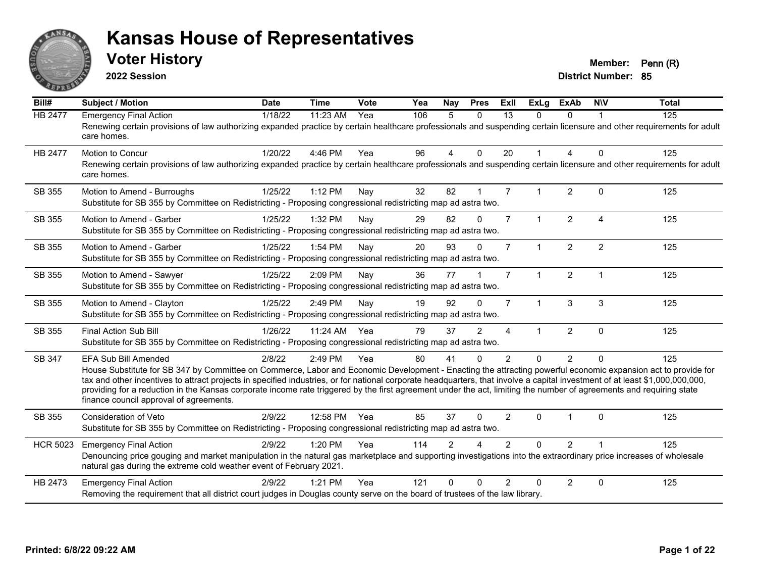

**2022 Session**

**District Number: 85 Voter History Member: Penn (R)** 

**Bill# Subject / Motion Date Time Vote Yea Nay Pres Exll ExLg ExAb N\V Total** HB 2477 Emergency Final Action 118/22 11:23 AM Yea 106 5 0 13 0 0 1 125 Renewing certain provisions of law authorizing expanded practice by certain healthcare professionals and suspending certain licensure and other requirements for adult care homes. HB 2477 Motion to Concur 1/20/22 4:46 PM Yea 96 4 0 20 1 4 0 125 Renewing certain provisions of law authorizing expanded practice by certain healthcare professionals and suspending certain licensure and other requirements for adult care homes. SB 355 Motion to Amend - Burroughs 1/25/22 1:12 PM Nay 32 82 1 7 1 2 0 125 Substitute for SB 355 by Committee on Redistricting - Proposing congressional redistricting map ad astra two. SB 355 Motion to Amend - Garber 1/25/22 1:32 PM Nav 29 82 0 7 1 2 4 125 Substitute for SB 355 by Committee on Redistricting - Proposing congressional redistricting map ad astra two. SB 355 Motion to Amend - Garber 1/25/22 1:54 PM Nav 20 93 0 7 1 2 2 125 Substitute for SB 355 by Committee on Redistricting - Proposing congressional redistricting map ad astra two. SB 355 Motion to Amend - Sawyer 1/25/22 2:09 PM Nay 36 77 1 7 1 2 1 1 Substitute for SB 355 by Committee on Redistricting - Proposing congressional redistricting map ad astra two. SB 355 Motion to Amend - Clayton 1/25/22 2:49 PM Nay 19 92 0 7 1 3 3 125 Substitute for SB 355 by Committee on Redistricting - Proposing congressional redistricting map ad astra two. SB 355 Final Action Sub Bill 1/26/22 11:24 AM Yea 79 37 2 4 1 2 0 125 Substitute for SB 355 by Committee on Redistricting - Proposing congressional redistricting map ad astra two. SB 347 EFA Sub Bill Amended 2/8/22 2:49 PM Yea 80 41 0 2 0 2 0 125 House Substitute for SB 347 by Committee on Commerce, Labor and Economic Development - Enacting the attracting powerful economic expansion act to provide for tax and other incentives to attract projects in specified industries, or for national corporate headquarters, that involve a capital investment of at least \$1,000,000,000,000, providing for a reduction in the Kansas corporate income rate triggered by the first agreement under the act, limiting the number of agreements and requiring state finance council approval of agreements. SB 355 Consideration of Veto 2/9/22 12:58 PM Yea 85 37 0 2 0 1 0 125 Substitute for SB 355 by Committee on Redistricting - Proposing congressional redistricting map ad astra two. HCR 5023 Emergency Final Action 2/9/22 1:20 PM Yea 114 2 4 2 0 2 1 125 Denouncing price gouging and market manipulation in the natural gas marketplace and supporting investigations into the extraordinary price increases of wholesale natural gas during the extreme cold weather event of February 2021. HB 2473 Emergency Final Action 2/9/22 1:21 PM Yea 121 0 0 2 0 2 0 125 Removing the requirement that all district court judges in Douglas county serve on the board of trustees of the law library.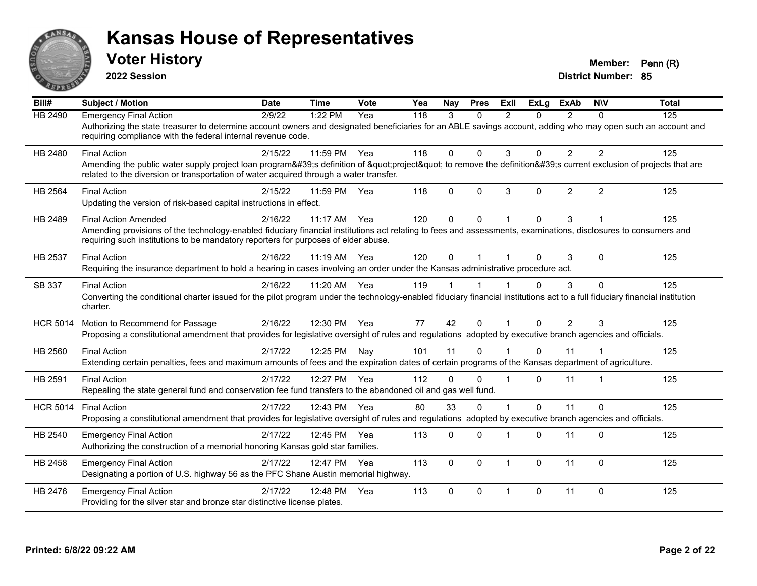

**2022 Session**

| Bill#           | <b>Subject / Motion</b>                                                                                                                                                                                                                                                              | <b>Date</b> | <b>Time</b>  | <b>Vote</b> | Yea              | Nay          | <b>Pres</b> | Exll           | <b>ExLg</b> | <b>ExAb</b>    | <b>NIV</b>     | <b>Total</b> |
|-----------------|--------------------------------------------------------------------------------------------------------------------------------------------------------------------------------------------------------------------------------------------------------------------------------------|-------------|--------------|-------------|------------------|--------------|-------------|----------------|-------------|----------------|----------------|--------------|
| <b>HB 2490</b>  | <b>Emergency Final Action</b><br>Authorizing the state treasurer to determine account owners and designated beneficiaries for an ABLE savings account, adding who may open such an account and<br>requiring compliance with the federal internal revenue code.                       | 2/9/22      | 1:22 PM      | Yea         | $\overline{118}$ | 3            | $\Omega$    | $\overline{2}$ | $\Omega$    | 2              | $\Omega$       | 125          |
| HB 2480         | <b>Final Action</b><br>Amending the public water supply project loan program's definition of "project" to remove the definition's current exclusion of projects that are<br>related to the diversion or transportation of water acquired through a water transfer.                   | 2/15/22     | 11:59 PM     | Yea         | 118              | $\mathbf{0}$ | $\Omega$    | 3              | $\Omega$    | $\overline{2}$ | $\overline{2}$ | 125          |
| HB 2564         | <b>Final Action</b><br>Updating the version of risk-based capital instructions in effect.                                                                                                                                                                                            | 2/15/22     | 11:59 PM     | Yea         | 118              | $\Omega$     | $\Omega$    | 3              | $\Omega$    | $\overline{2}$ | $\overline{2}$ | 125          |
| HB 2489         | <b>Final Action Amended</b><br>Amending provisions of the technology-enabled fiduciary financial institutions act relating to fees and assessments, examinations, disclosures to consumers and<br>requiring such institutions to be mandatory reporters for purposes of elder abuse. | 2/16/22     | $11:17$ AM   | Yea         | 120              | $\Omega$     | $\Omega$    |                | $\Omega$    | 3              |                | 125          |
| HB 2537         | <b>Final Action</b><br>Requiring the insurance department to hold a hearing in cases involving an order under the Kansas administrative procedure act.                                                                                                                               | 2/16/22     | 11:19 AM     | Yea         | 120              | $\mathbf 0$  |             |                |             | 3              | $\Omega$       | 125          |
| SB 337          | <b>Final Action</b><br>Converting the conditional charter issued for the pilot program under the technology-enabled fiduciary financial institutions act to a full fiduciary financial institution<br>charter.                                                                       | 2/16/22     | 11:20 AM Yea |             | 119              |              |             |                |             | 3              | $\Omega$       | 125          |
| <b>HCR 5014</b> | Motion to Recommend for Passage<br>Proposing a constitutional amendment that provides for legislative oversight of rules and regulations adopted by executive branch agencies and officials.                                                                                         | 2/16/22     | 12:30 PM     | Yea         | 77               | 42           | $\Omega$    |                | $\Omega$    | $\overline{2}$ | 3              | 125          |
| HB 2560         | <b>Final Action</b><br>Extending certain penalties, fees and maximum amounts of fees and the expiration dates of certain programs of the Kansas department of agriculture.                                                                                                           | 2/17/22     | 12:25 PM     | Nay         | 101              | 11           | $\Omega$    |                | $\Omega$    | 11             |                | 125          |
| HB 2591         | <b>Final Action</b><br>Repealing the state general fund and conservation fee fund transfers to the abandoned oil and gas well fund.                                                                                                                                                  | 2/17/22     | 12:27 PM     | Yea         | 112              | $\Omega$     | $\Omega$    |                | $\Omega$    | 11             | 1              | 125          |
| <b>HCR 5014</b> | <b>Final Action</b><br>Proposing a constitutional amendment that provides for legislative oversight of rules and regulations adopted by executive branch agencies and officials.                                                                                                     | 2/17/22     | 12:43 PM     | Yea         | 80               | 33           | $\Omega$    |                | $\Omega$    | 11             | $\Omega$       | 125          |
| HB 2540         | <b>Emergency Final Action</b><br>Authorizing the construction of a memorial honoring Kansas gold star families.                                                                                                                                                                      | 2/17/22     | 12:45 PM     | Yea         | 113              | $\Omega$     | $\Omega$    |                | $\Omega$    | 11             | $\Omega$       | 125          |
| HB 2458         | <b>Emergency Final Action</b><br>Designating a portion of U.S. highway 56 as the PFC Shane Austin memorial highway.                                                                                                                                                                  | 2/17/22     | 12:47 PM     | Yea         | 113              | $\mathbf{0}$ | $\Omega$    | 1              | $\Omega$    | 11             | $\Omega$       | 125          |
| HB 2476         | <b>Emergency Final Action</b><br>Providing for the silver star and bronze star distinctive license plates.                                                                                                                                                                           | 2/17/22     | 12:48 PM     | Yea         | 113              | $\mathbf{0}$ | $\Omega$    | 1              | $\Omega$    | 11             | $\Omega$       | 125          |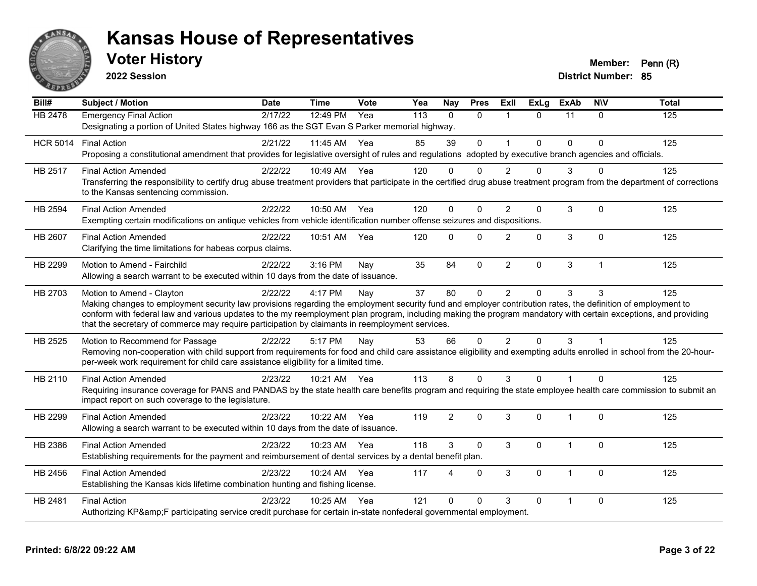

**2022 Session**

| Bill#           | <b>Subject / Motion</b>                                                                                                                                                                                                                                            | <b>Date</b> | <b>Time</b>  | Vote | Yea | Nay            | <b>Pres</b>  | ExII                 | <b>ExLg</b>  | <b>ExAb</b>    | <b>NIV</b>   | <b>Total</b> |
|-----------------|--------------------------------------------------------------------------------------------------------------------------------------------------------------------------------------------------------------------------------------------------------------------|-------------|--------------|------|-----|----------------|--------------|----------------------|--------------|----------------|--------------|--------------|
| <b>HB 2478</b>  | <b>Emergency Final Action</b>                                                                                                                                                                                                                                      | 2/17/22     | 12:49 PM     | Yea  | 113 | $\Omega$       | $\Omega$     | $\blacktriangleleft$ | $\Omega$     | 11             | $\Omega$     | 125          |
|                 | Designating a portion of United States highway 166 as the SGT Evan S Parker memorial highway.                                                                                                                                                                      |             |              |      |     |                |              |                      |              |                |              |              |
| <b>HCR 5014</b> | <b>Final Action</b>                                                                                                                                                                                                                                                | 2/21/22     | 11:45 AM     | Yea  | 85  | 39             | $\mathbf 0$  | $\mathbf{1}$         | 0            | $\mathbf 0$    | $\Omega$     | 125          |
|                 | Proposing a constitutional amendment that provides for legislative oversight of rules and regulations adopted by executive branch agencies and officials.                                                                                                          |             |              |      |     |                |              |                      |              |                |              |              |
| HB 2517         | <b>Final Action Amended</b>                                                                                                                                                                                                                                        | 2/22/22     | 10:49 AM     | Yea  | 120 | $\Omega$       | $\Omega$     | $\mathcal{P}$        | $\Omega$     | 3              | 0            | 125          |
|                 | Transferring the responsibility to certify drug abuse treatment providers that participate in the certified drug abuse treatment program from the department of corrections<br>to the Kansas sentencing commission.                                                |             |              |      |     |                |              |                      |              |                |              |              |
| HB 2594         | <b>Final Action Amended</b>                                                                                                                                                                                                                                        | 2/22/22     | 10:50 AM     | Yea  | 120 | $\Omega$       | $\Omega$     | 2                    | 0            | 3              | $\Omega$     | 125          |
|                 | Exempting certain modifications on antique vehicles from vehicle identification number offense seizures and dispositions.                                                                                                                                          |             |              |      |     |                |              |                      |              |                |              |              |
| HB 2607         | <b>Final Action Amended</b>                                                                                                                                                                                                                                        | 2/22/22     | 10:51 AM     | Yea  | 120 | $\mathbf{0}$   | $\mathbf 0$  | $\overline{2}$       | $\Omega$     | $\mathfrak{S}$ | $\mathbf 0$  | 125          |
|                 | Clarifying the time limitations for habeas corpus claims.                                                                                                                                                                                                          |             |              |      |     |                |              |                      |              |                |              |              |
| HB 2299         | Motion to Amend - Fairchild                                                                                                                                                                                                                                        | 2/22/22     | $3:16$ PM    | Nay  | 35  | 84             | $\mathbf 0$  | $\overline{2}$       | 0            | 3              | $\mathbf{1}$ | 125          |
|                 | Allowing a search warrant to be executed within 10 days from the date of issuance.                                                                                                                                                                                 |             |              |      |     |                |              |                      |              |                |              |              |
| HB 2703         | Motion to Amend - Clayton                                                                                                                                                                                                                                          | 2/22/22     | 4:17 PM      | Nay  | 37  | 80             | $\mathbf 0$  | $\overline{2}$       | 0            | 3              | 3            | 125          |
|                 | Making changes to employment security law provisions regarding the employment security fund and employer contribution rates, the definition of employment to                                                                                                       |             |              |      |     |                |              |                      |              |                |              |              |
|                 | conform with federal law and various updates to the my reemployment plan program, including making the program mandatory with certain exceptions, and providing<br>that the secretary of commerce may require participation by claimants in reemployment services. |             |              |      |     |                |              |                      |              |                |              |              |
| HB 2525         | Motion to Recommend for Passage                                                                                                                                                                                                                                    | 2/22/22     | 5:17 PM      | Nay  | 53  | 66             | $\Omega$     | $\overline{2}$       | $\Omega$     | 3              | $\mathbf{1}$ | 125          |
|                 | Removing non-cooperation with child support from requirements for food and child care assistance eligibility and exempting adults enrolled in school from the 20-hour-                                                                                             |             |              |      |     |                |              |                      |              |                |              |              |
|                 | per-week work requirement for child care assistance eligibility for a limited time.                                                                                                                                                                                |             |              |      |     |                |              |                      |              |                |              |              |
| HB 2110         | <b>Final Action Amended</b>                                                                                                                                                                                                                                        | 2/23/22     | 10:21 AM Yea |      | 113 | 8              | $\Omega$     | 3                    | $\Omega$     |                | $\Omega$     | 125          |
|                 | Requiring insurance coverage for PANS and PANDAS by the state health care benefits program and requiring the state employee health care commission to submit an                                                                                                    |             |              |      |     |                |              |                      |              |                |              |              |
|                 | impact report on such coverage to the legislature.                                                                                                                                                                                                                 |             |              |      |     |                |              |                      |              |                |              |              |
| HB 2299         | <b>Final Action Amended</b>                                                                                                                                                                                                                                        | 2/23/22     | 10:22 AM     | Yea  | 119 | $\overline{2}$ | $\mathbf{0}$ | 3                    | $\Omega$     | $\mathbf 1$    | $\Omega$     | 125          |
|                 | Allowing a search warrant to be executed within 10 days from the date of issuance.                                                                                                                                                                                 |             |              |      |     |                |              |                      |              |                |              |              |
| HB 2386         | <b>Final Action Amended</b>                                                                                                                                                                                                                                        | 2/23/22     | 10:23 AM     | Yea  | 118 | 3              | $\Omega$     | 3                    | $\mathbf{0}$ | $\mathbf{1}$   | $\Omega$     | 125          |
|                 | Establishing requirements for the payment and reimbursement of dental services by a dental benefit plan.                                                                                                                                                           |             |              |      |     |                |              |                      |              |                |              |              |
| HB 2456         | <b>Final Action Amended</b>                                                                                                                                                                                                                                        | 2/23/22     | 10:24 AM     | Yea  | 117 | 4              | $\Omega$     | 3                    | $\Omega$     |                | $\Omega$     | 125          |
|                 | Establishing the Kansas kids lifetime combination hunting and fishing license.                                                                                                                                                                                     |             |              |      |     |                |              |                      |              |                |              |              |
| HB 2481         | <b>Final Action</b>                                                                                                                                                                                                                                                | 2/23/22     | 10:25 AM     | Yea  | 121 | $\Omega$       | $\Omega$     | 3                    | $\Omega$     | 1              | $\mathbf{0}$ | 125          |
|                 | Authorizing KP&F participating service credit purchase for certain in-state nonfederal governmental employment.                                                                                                                                                    |             |              |      |     |                |              |                      |              |                |              |              |
|                 |                                                                                                                                                                                                                                                                    |             |              |      |     |                |              |                      |              |                |              |              |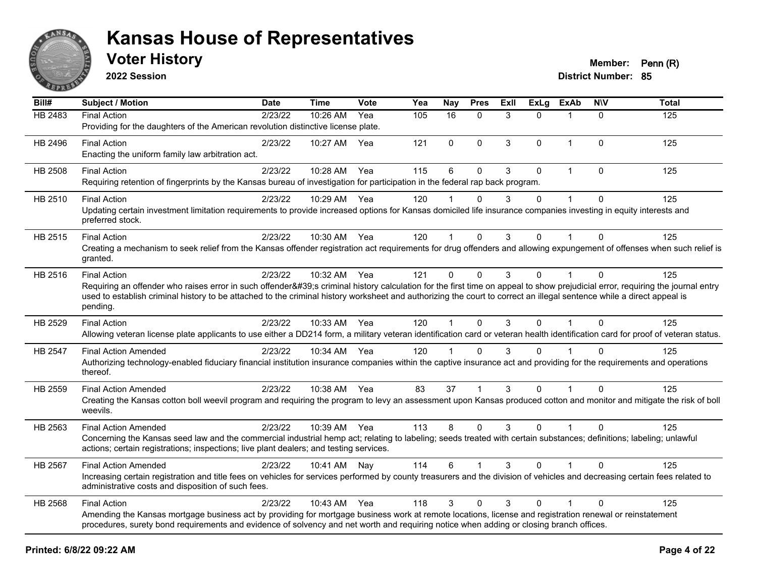

**2022 Session**

| Bill#          | <b>Subject / Motion</b>                                                                                                                                                                                                                                                                                                                                                                | Date    | <b>Time</b> | Vote | Yea | <b>Nay</b>           | <b>Pres</b>  | ExIl | <b>ExLg</b> | <b>ExAb</b>    | <b>NIV</b>   | <b>Total</b> |
|----------------|----------------------------------------------------------------------------------------------------------------------------------------------------------------------------------------------------------------------------------------------------------------------------------------------------------------------------------------------------------------------------------------|---------|-------------|------|-----|----------------------|--------------|------|-------------|----------------|--------------|--------------|
| <b>HB 2483</b> | <b>Final Action</b><br>Providing for the daughters of the American revolution distinctive license plate.                                                                                                                                                                                                                                                                               | 2/23/22 | 10:26 AM    | Yea  | 105 | $\overline{16}$      | $\mathbf 0$  | 3    | $\Omega$    | $\overline{1}$ | $\mathbf 0$  | 125          |
| HB 2496        | <b>Final Action</b><br>Enacting the uniform family law arbitration act.                                                                                                                                                                                                                                                                                                                | 2/23/22 | 10:27 AM    | Yea  | 121 | $\mathbf 0$          | 0            | 3    | $\Omega$    | $\overline{1}$ | 0            | 125          |
| HB 2508        | <b>Final Action</b><br>Requiring retention of fingerprints by the Kansas bureau of investigation for participation in the federal rap back program.                                                                                                                                                                                                                                    | 2/23/22 | 10:28 AM    | Yea  | 115 | 6                    | $\mathbf{0}$ | 3    | $\Omega$    | $\overline{1}$ | $\mathbf{0}$ | 125          |
| HB 2510        | <b>Final Action</b><br>Updating certain investment limitation requirements to provide increased options for Kansas domiciled life insurance companies investing in equity interests and<br>preferred stock.                                                                                                                                                                            | 2/23/22 | 10:29 AM    | Yea  | 120 |                      | $\Omega$     | 3    | $\Omega$    | $\overline{1}$ | $\Omega$     | 125          |
| HB 2515        | <b>Final Action</b><br>Creating a mechanism to seek relief from the Kansas offender registration act requirements for drug offenders and allowing expungement of offenses when such relief is<br>granted.                                                                                                                                                                              | 2/23/22 | 10:30 AM    | Yea  | 120 |                      | $\Omega$     | 3    | $\Omega$    |                | $\Omega$     | 125          |
| HB 2516        | <b>Final Action</b><br>Requiring an offender who raises error in such offender's criminal history calculation for the first time on appeal to show prejudicial error, requiring the journal entry<br>used to establish criminal history to be attached to the criminal history worksheet and authorizing the court to correct an illegal sentence while a direct appeal is<br>pending. | 2/23/22 | 10:32 AM    | Yea  | 121 | $\Omega$             | $\Omega$     | 3    | $\Omega$    | $\overline{1}$ | $\Omega$     | 125          |
| HB 2529        | <b>Final Action</b><br>Allowing veteran license plate applicants to use either a DD214 form, a military veteran identification card or veteran health identification card for proof of veteran status.                                                                                                                                                                                 | 2/23/22 | 10:33 AM    | Yea  | 120 | $\blacktriangleleft$ | $\mathbf{0}$ | 3    | $\Omega$    |                | $\mathbf{0}$ | 125          |
| HB 2547        | <b>Final Action Amended</b><br>Authorizing technology-enabled fiduciary financial institution insurance companies within the captive insurance act and providing for the requirements and operations<br>thereof.                                                                                                                                                                       | 2/23/22 | 10:34 AM    | Yea  | 120 | $\blacktriangleleft$ | $\Omega$     | 3    | 0           |                | $\Omega$     | 125          |
| HB 2559        | <b>Final Action Amended</b><br>Creating the Kansas cotton boll weevil program and requiring the program to levy an assessment upon Kansas produced cotton and monitor and mitigate the risk of boll<br>weevils.                                                                                                                                                                        | 2/23/22 | 10:38 AM    | Yea  | 83  | 37                   |              | 3    | $\Omega$    |                | $\mathbf{0}$ | 125          |
| HB 2563        | <b>Final Action Amended</b><br>Concerning the Kansas seed law and the commercial industrial hemp act; relating to labeling; seeds treated with certain substances; definitions; labeling; unlawful<br>actions; certain registrations; inspections; live plant dealers; and testing services.                                                                                           | 2/23/22 | 10:39 AM    | Yea  | 113 | 8                    | $\Omega$     | 3    | $\Omega$    | $\mathbf{1}$   | $\Omega$     | 125          |
| HB 2567        | <b>Final Action Amended</b><br>Increasing certain registration and title fees on vehicles for services performed by county treasurers and the division of vehicles and decreasing certain fees related to<br>administrative costs and disposition of such fees.                                                                                                                        | 2/23/22 | 10:41 AM    | Nay  | 114 | 6                    |              | 3    | $\Omega$    |                | 0            | 125          |
| HB 2568        | <b>Final Action</b><br>Amending the Kansas mortgage business act by providing for mortgage business work at remote locations, license and registration renewal or reinstatement<br>procedures, surety bond requirements and evidence of solvency and net worth and requiring notice when adding or closing branch offices.                                                             | 2/23/22 | 10:43 AM    | Yea  | 118 | 3                    | $\mathbf{0}$ | 3    | $\Omega$    | 1              | $\Omega$     | 125          |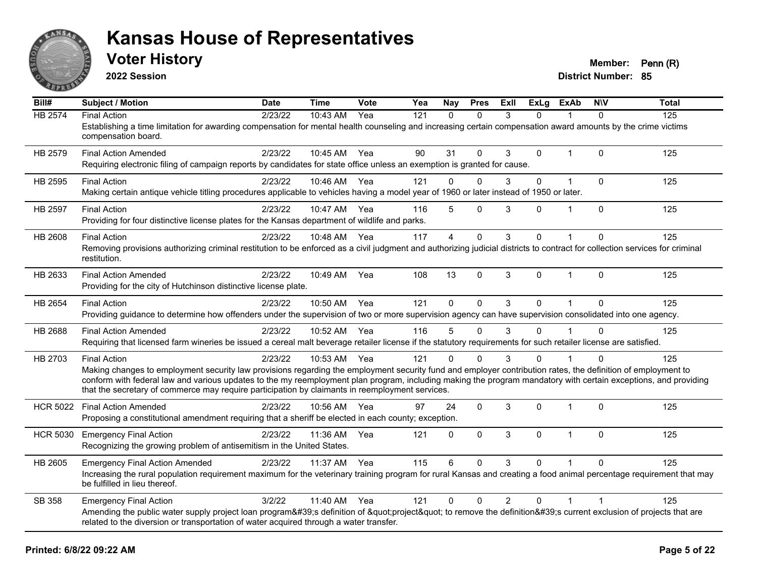

**2022 Session**

| Bill#           | <b>Subject / Motion</b>                                                                                                                                                                                                                                                                                                                                                                                                                                   | <b>Date</b> | <b>Time</b>  | Vote | Yea | Nay            | <b>Pres</b> | <b>ExII</b>    | ExLg         | <b>ExAb</b>             | <b>NIV</b> | <b>Total</b> |
|-----------------|-----------------------------------------------------------------------------------------------------------------------------------------------------------------------------------------------------------------------------------------------------------------------------------------------------------------------------------------------------------------------------------------------------------------------------------------------------------|-------------|--------------|------|-----|----------------|-------------|----------------|--------------|-------------------------|------------|--------------|
| <b>HB 2574</b>  | <b>Final Action</b><br>Establishing a time limitation for awarding compensation for mental health counseling and increasing certain compensation award amounts by the crime victims<br>compensation board.                                                                                                                                                                                                                                                | 2/23/22     | 10:43 AM     | Yea  | 121 | $\Omega$       | $\Omega$    | 3              | $\Omega$     |                         | $\Omega$   | 125          |
| HB 2579         | <b>Final Action Amended</b><br>Requiring electronic filing of campaign reports by candidates for state office unless an exemption is granted for cause.                                                                                                                                                                                                                                                                                                   | 2/23/22     | 10:45 AM Yea |      | 90  | 31             | $\Omega$    | 3              | $\mathbf{0}$ | $\overline{\mathbf{1}}$ | $\Omega$   | 125          |
| HB 2595         | <b>Final Action</b><br>Making certain antique vehicle titling procedures applicable to vehicles having a model year of 1960 or later instead of 1950 or later.                                                                                                                                                                                                                                                                                            | 2/23/22     | 10:46 AM     | Yea  | 121 | $\Omega$       | $\Omega$    | 3              | $\Omega$     |                         | $\Omega$   | 125          |
| <b>HB 2597</b>  | <b>Final Action</b><br>Providing for four distinctive license plates for the Kansas department of wildlife and parks.                                                                                                                                                                                                                                                                                                                                     | 2/23/22     | 10:47 AM     | Yea  | 116 | 5              | $\Omega$    | 3              | $\Omega$     | $\overline{\mathbf{1}}$ | $\Omega$   | 125          |
| HB 2608         | <b>Final Action</b><br>Removing provisions authorizing criminal restitution to be enforced as a civil judgment and authorizing judicial districts to contract for collection services for criminal<br>restitution.                                                                                                                                                                                                                                        | 2/23/22     | 10:48 AM     | Yea  | 117 | $\overline{4}$ | $\mathbf 0$ | 3              | $\Omega$     | $\overline{1}$          | $\Omega$   | 125          |
| HB 2633         | <b>Final Action Amended</b><br>Providing for the city of Hutchinson distinctive license plate.                                                                                                                                                                                                                                                                                                                                                            | 2/23/22     | 10:49 AM     | Yea  | 108 | 13             | $\Omega$    | 3              | $\Omega$     | 1                       | $\Omega$   | 125          |
| HB 2654         | <b>Final Action</b><br>Providing guidance to determine how offenders under the supervision of two or more supervision agency can have supervision consolidated into one agency.                                                                                                                                                                                                                                                                           | 2/23/22     | 10:50 AM     | Yea  | 121 | $\Omega$       | $\Omega$    | 3              | $\Omega$     | $\overline{\mathbf{1}}$ | $\Omega$   | 125          |
| HB 2688         | <b>Final Action Amended</b><br>Requiring that licensed farm wineries be issued a cereal malt beverage retailer license if the statutory requirements for such retailer license are satisfied.                                                                                                                                                                                                                                                             | 2/23/22     | 10:52 AM     | Yea  | 116 | 5              | $\Omega$    | 3              | $\Omega$     |                         | $\Omega$   | 125          |
| HB 2703         | <b>Final Action</b><br>Making changes to employment security law provisions regarding the employment security fund and employer contribution rates, the definition of employment to<br>conform with federal law and various updates to the my reemployment plan program, including making the program mandatory with certain exceptions, and providing<br>that the secretary of commerce may require participation by claimants in reemployment services. | 2/23/22     | 10:53 AM     | Yea  | 121 | $\Omega$       | $\Omega$    | 3              | $\Omega$     |                         |            | 125          |
| <b>HCR 5022</b> | <b>Final Action Amended</b><br>Proposing a constitutional amendment requiring that a sheriff be elected in each county; exception.                                                                                                                                                                                                                                                                                                                        | 2/23/22     | 10:56 AM     | Yea  | 97  | 24             | $\Omega$    | 3              | $\Omega$     | $\overline{\mathbf{1}}$ | $\Omega$   | 125          |
| <b>HCR 5030</b> | <b>Emergency Final Action</b><br>Recognizing the growing problem of antisemitism in the United States.                                                                                                                                                                                                                                                                                                                                                    | 2/23/22     | 11:36 AM     | Yea  | 121 | $\mathbf{0}$   | $\Omega$    | 3              | $\Omega$     | $\overline{\mathbf{1}}$ | $\Omega$   | 125          |
| HB 2605         | <b>Emergency Final Action Amended</b><br>Increasing the rural population requirement maximum for the veterinary training program for rural Kansas and creating a food animal percentage requirement that may<br>be fulfilled in lieu thereof.                                                                                                                                                                                                             | 2/23/22     | 11:37 AM     | Yea  | 115 | 6              | $\Omega$    | 3              | $\Omega$     |                         | $\Omega$   | 125          |
| SB 358          | <b>Emergency Final Action</b><br>Amending the public water supply project loan program's definition of "project" to remove the definition's current exclusion of projects that are<br>related to the diversion or transportation of water acquired through a water transfer.                                                                                                                                                                              | 3/2/22      | 11:40 AM     | Yea  | 121 | $\mathbf{0}$   | $\Omega$    | $\overline{2}$ | $\Omega$     |                         |            | 125          |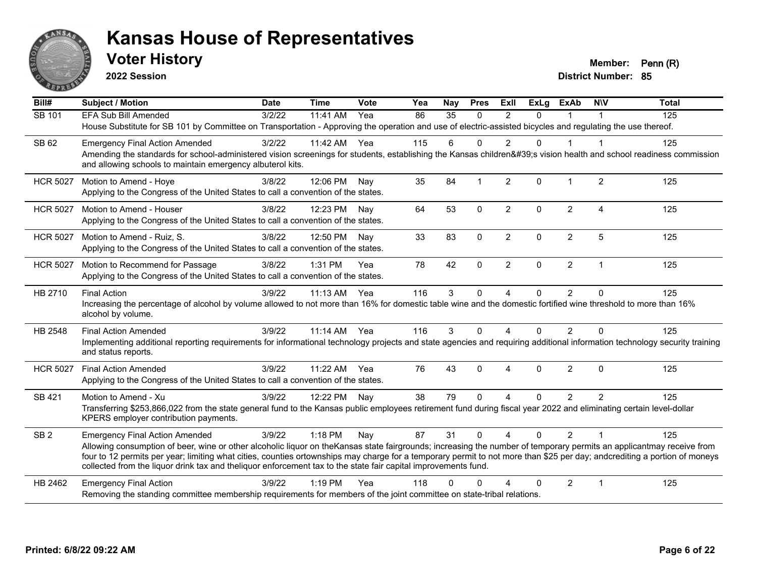

**2022 Session**

**District Number: 85 Voter History Member: Penn (R)** 

**Bill# Subject / Motion Date Time Vote Yea Nay Pres Exll ExLg ExAb N\V Total** SB 101 FFA Sub Bill Amended 3/2/22 11:41 AM Yea 86 35 0 2 0 1 1 House Substitute for SB 101 by Committee on Transportation - Approving the operation and use of electric-assisted bicycles and regulating the use thereof. SB 62 Emergency Final Action Amended 3/2/22 11:42 AM Yea 115 6 0 2 0 1 1 Amending the standards for school-administered vision screenings for students, establishing the Kansas children's vision health and school readiness commission and allowing schools to maintain emergency albuterol kits. HCR 5027 Motion to Amend - Hove 3/8/22 12:06 PM Nay 35 84 1 2 0 1 2 125 Applying to the Congress of the United States to call a convention of the states. HCR 5027 Motion to Amend - Houser (a) 3/8/22 12:23 PM Nav (beta 64 53 0 2 0 2 4 125 Applying to the Congress of the United States to call a convention of the states. HCR 5027 Motion to Amend - Ruiz, S. 3/8/22 12:50 PM Nay 33 83 0 2 0 2 5 125 Applying to the Congress of the United States to call a convention of the states. HCR 5027 Motion to Recommend for Passage 3/8/22 1:31 PM Yea 78 42 0 2 0 2 1 1 125 Applying to the Congress of the United States to call a convention of the states. HB 2710 Final Action 3/9/22 11:13 AM Yea 116 3 0 4 0 2 0 125 Increasing the percentage of alcohol by volume allowed to not more than 16% for domestic table wine and the domestic fortified wine threshold to more than 16% alcohol by volume. HB 2548 Final Action Amended 3/9/22 11:14 AM Yea 116 3 0 4 0 2 0 125 Implementing additional reporting requirements for informational technology projects and state agencies and requiring additional information technology security training and status reports. HCR 5027 Final Action Amended 3/9/22 11:22 AM Yea 76 43 0 4 0 2 0 125 Applying to the Congress of the United States to call a convention of the states. SB 421 Motion to Amend - Xu and the State of American case of Alexandria and the State of Alexandria and the S Transferring \$253,866,022 from the state general fund to the Kansas public employees retirement fund during fiscal year 2022 and eliminating certain level-dollar KPERS employer contribution payments. SB 2 Emergency Final Action Amended 3/9/22 1:18 PM Nay 87 31 0 4 0 2 1 125 Allowing consumption of beer, wine or other alcoholic liquor on theKansas state fairgrounds; increasing the number of temporary permits an applicantmay receive from four to 12 permits per year; limiting what cities, counties ortownships may charge for a temporary permit to not more than \$25 per day; andcrediting a portion of moneys collected from the liquor drink tax and theliquor enforcement tax to the state fair capital improvements fund. HB 2462 Emergency Final Action 125 (3/9/22 1:19 PM Yea 118 0 0 4 0 2 1 125 Removing the standing committee membership requirements for members of the joint committee on state-tribal relations.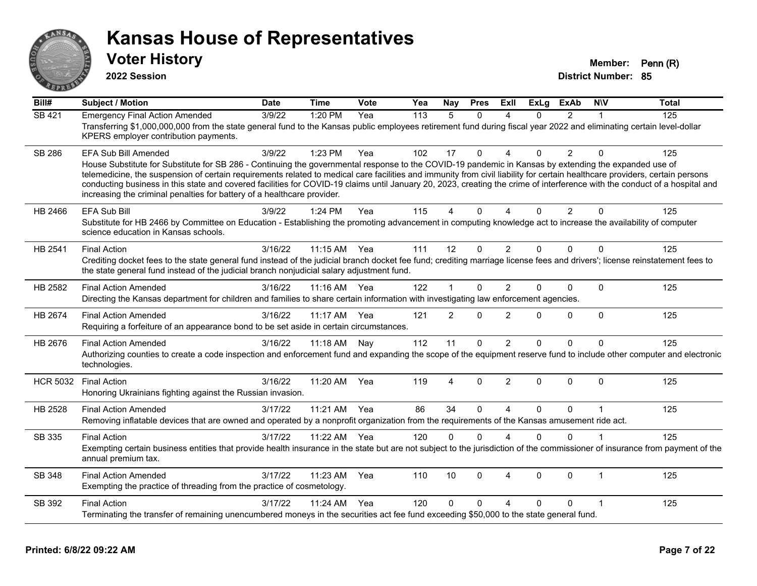

**2022 Session**

**Voter History Member: Penn (R)** 

**District Number: 85**

| Bill#           | <b>Subject / Motion</b>                                                                                                                                                                                                                                                                                                                                                                                                              | <b>Date</b> | <b>Time</b> | Vote | Yea | Nay            | <b>Pres</b> | ExII                   | <b>ExLg</b> | <b>ExAb</b>    | <b>NIV</b>     | <b>Total</b> |
|-----------------|--------------------------------------------------------------------------------------------------------------------------------------------------------------------------------------------------------------------------------------------------------------------------------------------------------------------------------------------------------------------------------------------------------------------------------------|-------------|-------------|------|-----|----------------|-------------|------------------------|-------------|----------------|----------------|--------------|
| <b>SB 421</b>   | <b>Emergency Final Action Amended</b>                                                                                                                                                                                                                                                                                                                                                                                                | 3/9/22      | 1:20 PM     | Yea  | 113 | 5              | $\Omega$    | Δ                      | $\Omega$    | $\overline{2}$ |                | 125          |
|                 | Transferring \$1,000,000,000 from the state general fund to the Kansas public employees retirement fund during fiscal year 2022 and eliminating certain level-dollar<br>KPERS employer contribution payments.                                                                                                                                                                                                                        |             |             |      |     |                |             |                        |             |                |                |              |
| <b>SB 286</b>   | EFA Sub Bill Amended                                                                                                                                                                                                                                                                                                                                                                                                                 | 3/9/22      | 1:23 PM     | Yea  | 102 | 17             | $\Omega$    | $\Delta$               | 0           | $\overline{2}$ | $\Omega$       | 125          |
|                 | House Substitute for Substitute for SB 286 - Continuing the governmental response to the COVID-19 pandemic in Kansas by extending the expanded use of                                                                                                                                                                                                                                                                                |             |             |      |     |                |             |                        |             |                |                |              |
|                 | telemedicine, the suspension of certain requirements related to medical care facilities and immunity from civil liability for certain healthcare providers, certain persons<br>conducting business in this state and covered facilities for COVID-19 claims until January 20, 2023, creating the crime of interference with the conduct of a hospital and<br>increasing the criminal penalties for battery of a healthcare provider. |             |             |      |     |                |             |                        |             |                |                |              |
| HB 2466         | <b>EFA Sub Bill</b>                                                                                                                                                                                                                                                                                                                                                                                                                  | 3/9/22      | 1:24 PM     | Yea  | 115 | 4              | 0           |                        | 0           | 2              | $\Omega$       | 125          |
|                 | Substitute for HB 2466 by Committee on Education - Establishing the promoting advancement in computing knowledge act to increase the availability of computer<br>science education in Kansas schools.                                                                                                                                                                                                                                |             |             |      |     |                |             |                        |             |                |                |              |
| HB 2541         | <b>Final Action</b>                                                                                                                                                                                                                                                                                                                                                                                                                  | 3/16/22     | 11:15 AM    | Yea  | 111 | 12             | $\Omega$    | $\overline{2}$         | $\Omega$    | $\mathbf{0}$   | $\Omega$       | 125          |
|                 | Crediting docket fees to the state general fund instead of the judicial branch docket fee fund; crediting marriage license fees and drivers'; license reinstatement fees to<br>the state general fund instead of the judicial branch nonjudicial salary adjustment fund.                                                                                                                                                             |             |             |      |     |                |             |                        |             |                |                |              |
| HB 2582         | <b>Final Action Amended</b>                                                                                                                                                                                                                                                                                                                                                                                                          | 3/16/22     | 11:16 AM    | Yea  | 122 | 1              | 0           | $\overline{2}$         | 0           | $\mathbf 0$    | $\Omega$       | 125          |
|                 | Directing the Kansas department for children and families to share certain information with investigating law enforcement agencies.                                                                                                                                                                                                                                                                                                  |             |             |      |     |                |             |                        |             |                |                |              |
| HB 2674         | <b>Final Action Amended</b>                                                                                                                                                                                                                                                                                                                                                                                                          | 3/16/22     | 11:17 AM    | Yea  | 121 | $\overline{2}$ | $\Omega$    | $\overline{2}$         | 0           | $\mathbf 0$    | $\mathbf 0$    | 125          |
|                 | Requiring a forfeiture of an appearance bond to be set aside in certain circumstances.                                                                                                                                                                                                                                                                                                                                               |             |             |      |     |                |             |                        |             |                |                |              |
| HB 2676         | <b>Final Action Amended</b>                                                                                                                                                                                                                                                                                                                                                                                                          | 3/16/22     | 11:18 AM    | Nay  | 112 | 11             | 0           | $\overline{2}$         | 0           | $\Omega$       | $\Omega$       | 125          |
|                 | Authorizing counties to create a code inspection and enforcement fund and expanding the scope of the equipment reserve fund to include other computer and electronic<br>technologies.                                                                                                                                                                                                                                                |             |             |      |     |                |             |                        |             |                |                |              |
| <b>HCR 5032</b> | <b>Final Action</b>                                                                                                                                                                                                                                                                                                                                                                                                                  | 3/16/22     | 11:20 AM    | Yea  | 119 | 4              | $\Omega$    | $\overline{2}$         | $\Omega$    | $\Omega$       | $\Omega$       | 125          |
|                 | Honoring Ukrainians fighting against the Russian invasion.                                                                                                                                                                                                                                                                                                                                                                           |             |             |      |     |                |             |                        |             |                |                |              |
| HB 2528         | <b>Final Action Amended</b>                                                                                                                                                                                                                                                                                                                                                                                                          | 3/17/22     | 11:21 AM    | Yea  | 86  | 34             | $\Omega$    | $\Delta$               | $\Omega$    | $\Omega$       | $\overline{1}$ | 125          |
|                 | Removing inflatable devices that are owned and operated by a nonprofit organization from the requirements of the Kansas amusement ride act.                                                                                                                                                                                                                                                                                          |             |             |      |     |                |             |                        |             |                |                |              |
| SB 335          | <b>Final Action</b>                                                                                                                                                                                                                                                                                                                                                                                                                  | 3/17/22     | 11:22 AM    | Yea  | 120 | $\Omega$       | $\Omega$    | $\Lambda$              | $\Omega$    | $\Omega$       |                | 125          |
|                 | Exempting certain business entities that provide health insurance in the state but are not subject to the jurisdiction of the commissioner of insurance from payment of the<br>annual premium tax.                                                                                                                                                                                                                                   |             |             |      |     |                |             |                        |             |                |                |              |
| SB 348          | <b>Final Action Amended</b>                                                                                                                                                                                                                                                                                                                                                                                                          | 3/17/22     | 11:23 AM    | Yea  | 110 | 10             | $\Omega$    | $\boldsymbol{\Lambda}$ | $\Omega$    | $\mathbf{0}$   | $\mathbf{1}$   | 125          |
|                 | Exempting the practice of threading from the practice of cosmetology.                                                                                                                                                                                                                                                                                                                                                                |             |             |      |     |                |             |                        |             |                |                |              |
| SB 392          | <b>Final Action</b>                                                                                                                                                                                                                                                                                                                                                                                                                  | 3/17/22     | 11:24 AM    | Yea  | 120 | $\Omega$       | $\Omega$    | $\Delta$               | 0           | $\Omega$       |                | 125          |
|                 | Terminating the transfer of remaining unencumbered moneys in the securities act fee fund exceeding \$50,000 to the state general fund.                                                                                                                                                                                                                                                                                               |             |             |      |     |                |             |                        |             |                |                |              |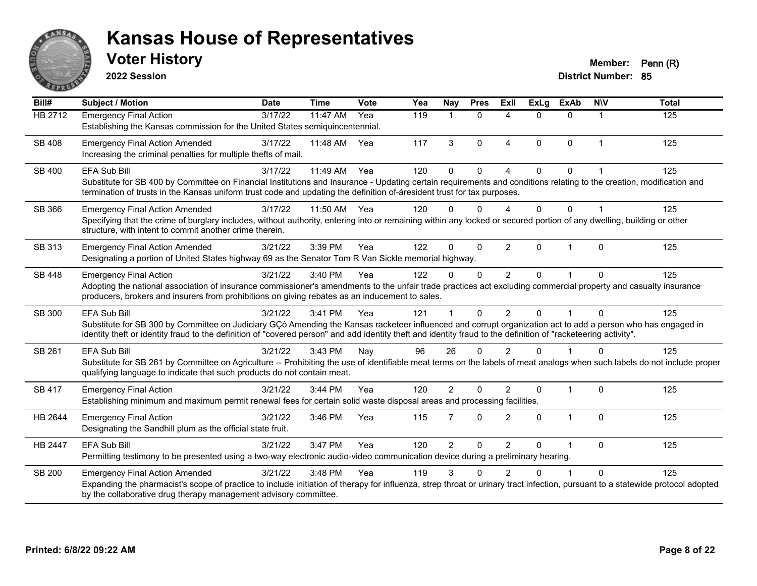

**2022 Session**

| Bill#         | <b>Subject / Motion</b>                                                                                                                                                                                                                                                                                                                               | <b>Date</b> | <b>Time</b> | Vote | Yea | Nay            | <b>Pres</b>  | ExII                   | <b>ExLg</b>  | <b>ExAb</b>  | <b>NIV</b>     | <b>Total</b> |
|---------------|-------------------------------------------------------------------------------------------------------------------------------------------------------------------------------------------------------------------------------------------------------------------------------------------------------------------------------------------------------|-------------|-------------|------|-----|----------------|--------------|------------------------|--------------|--------------|----------------|--------------|
| HB 2712       | <b>Emergency Final Action</b><br>Establishing the Kansas commission for the United States semiquincentennial.                                                                                                                                                                                                                                         | 3/17/22     | 11:47 AM    | Yea  | 119 | 1              | $\Omega$     | $\Delta$               | $\Omega$     | $\Omega$     | 1              | 125          |
| SB 408        | <b>Emergency Final Action Amended</b><br>Increasing the criminal penalties for multiple thefts of mail.                                                                                                                                                                                                                                               | 3/17/22     | 11:48 AM    | Yea  | 117 | 3              | $\Omega$     | $\boldsymbol{\Lambda}$ | $\Omega$     | $\Omega$     | $\overline{1}$ | 125          |
| <b>SB 400</b> | EFA Sub Bill<br>Substitute for SB 400 by Committee on Financial Institutions and Insurance - Updating certain requirements and conditions relating to the creation, modification and<br>termination of trusts in the Kansas uniform trust code and updating the definition of-áresident trust for tax purposes.                                       | 3/17/22     | 11:49 AM    | Yea  | 120 | $\Omega$       | $\Omega$     |                        | $\Omega$     | 0            |                | 125          |
| SB 366        | <b>Emergency Final Action Amended</b><br>Specifying that the crime of burglary includes, without authority, entering into or remaining within any locked or secured portion of any dwelling, building or other<br>structure, with intent to commit another crime therein.                                                                             | 3/17/22     | 11:50 AM    | Yea  | 120 | 0              | $\Omega$     | $\Lambda$              | $\Omega$     | 0            |                | 125          |
| SB 313        | <b>Emergency Final Action Amended</b><br>Designating a portion of United States highway 69 as the Senator Tom R Van Sickle memorial highway.                                                                                                                                                                                                          | 3/21/22     | 3:39 PM     | Yea  | 122 | $\Omega$       | $\mathbf{0}$ | 2                      | $\Omega$     | 1            | $\Omega$       | 125          |
| SB 448        | <b>Emergency Final Action</b><br>Adopting the national association of insurance commissioner's amendments to the unfair trade practices act excluding commercial property and casualty insurance<br>producers, brokers and insurers from prohibitions on giving rebates as an inducement to sales.                                                    | 3/21/22     | 3:40 PM     | Yea  | 122 | 0              | $\mathbf{0}$ | $\overline{2}$         | $\Omega$     |              | $\Omega$       | 125          |
| <b>SB 300</b> | <b>EFA Sub Bill</b><br>Substitute for SB 300 by Committee on Judiciary GÇô Amending the Kansas racketeer influenced and corrupt organization act to add a person who has engaged in<br>identity theft or identity fraud to the definition of "covered person" and add identity theft and identity fraud to the definition of "racketeering activity". | 3/21/22     | 3:41 PM     | Yea  | 121 |                | $\Omega$     | 2                      | $\Omega$     |              | $\Omega$       | 125          |
| SB 261        | <b>EFA Sub Bill</b><br>Substitute for SB 261 by Committee on Agriculture -- Prohibiting the use of identifiable meat terms on the labels of meat analogs when such labels do not include proper<br>qualifying language to indicate that such products do not contain meat.                                                                            | 3/21/22     | 3:43 PM     | Nay  | 96  | 26             | $\mathbf{0}$ | $\overline{2}$         | $\Omega$     |              | $\Omega$       | 125          |
| <b>SB 417</b> | <b>Emergency Final Action</b><br>Establishing minimum and maximum permit renewal fees for certain solid waste disposal areas and processing facilities.                                                                                                                                                                                               | 3/21/22     | 3:44 PM     | Yea  | 120 | $\overline{2}$ | $\Omega$     | $\mathcal{P}$          | $\mathbf{0}$ | 1            | $\Omega$       | 125          |
| HB 2644       | <b>Emergency Final Action</b><br>Designating the Sandhill plum as the official state fruit.                                                                                                                                                                                                                                                           | 3/21/22     | 3:46 PM     | Yea  | 115 | 7              | $\mathbf{0}$ | $\overline{2}$         | $\Omega$     | $\mathbf{1}$ | $\Omega$       | 125          |
| HB 2447       | <b>EFA Sub Bill</b><br>Permitting testimony to be presented using a two-way electronic audio-video communication device during a preliminary hearing.                                                                                                                                                                                                 | 3/21/22     | 3:47 PM     | Yea  | 120 | $\overline{2}$ | $\mathbf{0}$ | $\overline{2}$         | $\Omega$     | 1            | $\Omega$       | 125          |
| <b>SB 200</b> | <b>Emergency Final Action Amended</b><br>Expanding the pharmacist's scope of practice to include initiation of therapy for influenza, strep throat or urinary tract infection, pursuant to a statewide protocol adopted<br>by the collaborative drug therapy management advisory committee.                                                           | 3/21/22     | 3:48 PM     | Yea  | 119 | 3              | U            | 2                      | U            |              | $\Omega$       | 125          |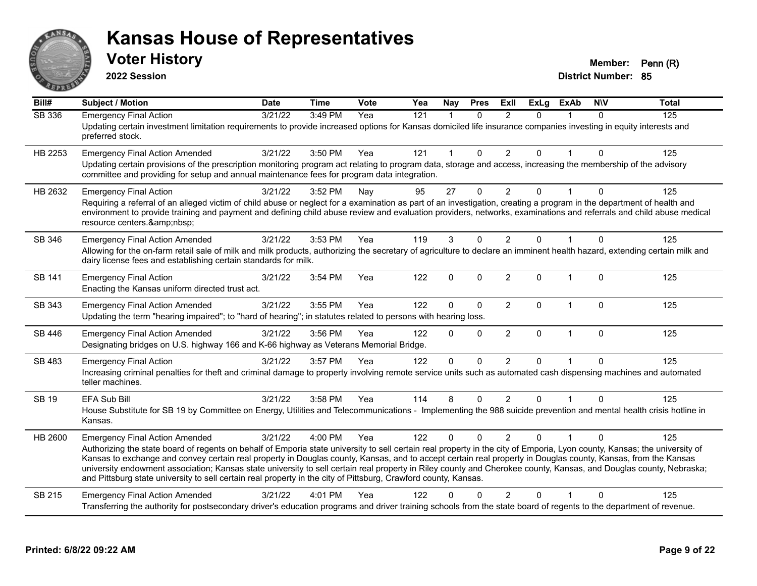

**2022 Session**

| $\overline{Bill#}$ | <b>Subject / Motion</b>                                                                                                                                                                                                                                                                                                                                                                                                                                                                                                                                                                                                                                                      | <b>Date</b> | <b>Time</b> | Vote | Yea | Nay                  | <b>Pres</b>  | ExIl           | <b>ExLg</b>  | <b>ExAb</b>    | <b>NIV</b>   | <b>Total</b> |
|--------------------|------------------------------------------------------------------------------------------------------------------------------------------------------------------------------------------------------------------------------------------------------------------------------------------------------------------------------------------------------------------------------------------------------------------------------------------------------------------------------------------------------------------------------------------------------------------------------------------------------------------------------------------------------------------------------|-------------|-------------|------|-----|----------------------|--------------|----------------|--------------|----------------|--------------|--------------|
| <b>SB 336</b>      | <b>Emergency Final Action</b><br>Updating certain investment limitation requirements to provide increased options for Kansas domiciled life insurance companies investing in equity interests and<br>preferred stock.                                                                                                                                                                                                                                                                                                                                                                                                                                                        | 3/21/22     | 3:49 PM     | Yea  | 121 | $\blacktriangleleft$ | $\Omega$     | 2              | $\Omega$     |                | $\Omega$     | 125          |
| HB 2253            | <b>Emergency Final Action Amended</b><br>Updating certain provisions of the prescription monitoring program act relating to program data, storage and access, increasing the membership of the advisory<br>committee and providing for setup and annual maintenance fees for program data integration.                                                                                                                                                                                                                                                                                                                                                                       | 3/21/22     | 3:50 PM     | Yea  | 121 | $\mathbf{1}$         | $\Omega$     | $\overline{2}$ | $\Omega$     | 1              | $\Omega$     | 125          |
| HB 2632            | <b>Emergency Final Action</b><br>Requiring a referral of an alleged victim of child abuse or neglect for a examination as part of an investigation, creating a program in the department of health and<br>environment to provide training and payment and defining child abuse review and evaluation providers, networks, examinations and referrals and child abuse medical<br>resource centers.                                                                                                                                                                                                                                                                            | 3/21/22     | 3:52 PM     | Nay  | 95  | 27                   | $\Omega$     | $\overline{2}$ | 0            |                | $\Omega$     | 125          |
| SB 346             | <b>Emergency Final Action Amended</b><br>Allowing for the on-farm retail sale of milk and milk products, authorizing the secretary of agriculture to declare an imminent health hazard, extending certain milk and<br>dairy license fees and establishing certain standards for milk.                                                                                                                                                                                                                                                                                                                                                                                        | 3/21/22     | 3:53 PM     | Yea  | 119 | 3                    | $\Omega$     | 2              | $\Omega$     |                | $\mathbf{0}$ | 125          |
| SB 141             | <b>Emergency Final Action</b><br>Enacting the Kansas uniform directed trust act.                                                                                                                                                                                                                                                                                                                                                                                                                                                                                                                                                                                             | 3/21/22     | 3:54 PM     | Yea  | 122 | 0                    | $\Omega$     | $\overline{2}$ | $\Omega$     | $\overline{1}$ | $\Omega$     | 125          |
| SB 343             | <b>Emergency Final Action Amended</b><br>Updating the term "hearing impaired"; to "hard of hearing"; in statutes related to persons with hearing loss.                                                                                                                                                                                                                                                                                                                                                                                                                                                                                                                       | 3/21/22     | 3:55 PM     | Yea  | 122 | 0                    | $\Omega$     | $\overline{2}$ | $\Omega$     | $\mathbf{1}$   | $\Omega$     | 125          |
| SB 446             | <b>Emergency Final Action Amended</b><br>Designating bridges on U.S. highway 166 and K-66 highway as Veterans Memorial Bridge.                                                                                                                                                                                                                                                                                                                                                                                                                                                                                                                                               | 3/21/22     | 3:56 PM     | Yea  | 122 | 0                    | $\Omega$     | $\overline{2}$ | $\Omega$     | $\mathbf{1}$   | $\Omega$     | 125          |
| SB 483             | <b>Emergency Final Action</b><br>Increasing criminal penalties for theft and criminal damage to property involving remote service units such as automated cash dispensing machines and automated<br>teller machines.                                                                                                                                                                                                                                                                                                                                                                                                                                                         | 3/21/22     | 3:57 PM     | Yea  | 122 | $\mathbf 0$          | $\mathbf{0}$ | 2              | $\mathbf{0}$ | $\overline{1}$ | $\Omega$     | 125          |
| <b>SB 19</b>       | EFA Sub Bill<br>House Substitute for SB 19 by Committee on Energy, Utilities and Telecommunications - Implementing the 988 suicide prevention and mental health crisis hotline in<br>Kansas.                                                                                                                                                                                                                                                                                                                                                                                                                                                                                 | 3/21/22     | 3:58 PM     | Yea  | 114 | 8                    | $\Omega$     | 2              | $\Omega$     |                | $\Omega$     | 125          |
| HB 2600            | <b>Emergency Final Action Amended</b><br>Authorizing the state board of regents on behalf of Emporia state university to sell certain real property in the city of Emporia, Lyon county, Kansas; the university of<br>Kansas to exchange and convey certain real property in Douglas county, Kansas, and to accept certain real property in Douglas county, Kansas, from the Kansas<br>university endowment association; Kansas state university to sell certain real property in Riley county and Cherokee county, Kansas, and Douglas county, Nebraska;<br>and Pittsburg state university to sell certain real property in the city of Pittsburg, Crawford county, Kansas. | 3/21/22     | 4:00 PM     | Yea  | 122 | $\Omega$             | $\Omega$     | $\mathcal{P}$  | $\Omega$     |                | $\Omega$     | 125          |
| SB 215             | <b>Emergency Final Action Amended</b><br>Transferring the authority for postsecondary driver's education programs and driver training schools from the state board of regents to the department of revenue.                                                                                                                                                                                                                                                                                                                                                                                                                                                                  | 3/21/22     | 4:01 PM     | Yea  | 122 | U                    |              | $\mathcal{P}$  | 0            |                | $\Omega$     | 125          |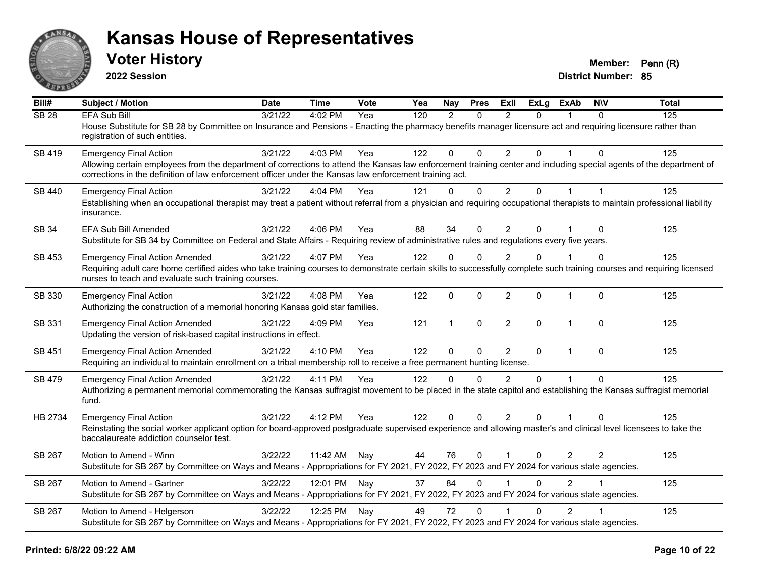

**2022 Session**

**District Number: 85 Voter History Member: Penn (R)** 

**Bill# Subject / Motion Date Time Vote Yea Nay Pres Exll ExLg ExAb N\V Total** SB 28 EFA Sub Bill 3/21/22 4:02 PM Yea 120 2 0 2 0 1 0 125 House Substitute for SB 28 by Committee on Insurance and Pensions - Enacting the pharmacy benefits manager licensure act and requiring licensure rather than registration of such entities. SB 419 Emergency Final Action 2001 125 3/21/22 4:03 PM Yea 122 0 0 2 0 1 0 125 Allowing certain employees from the department of corrections to attend the Kansas law enforcement training center and including special agents of the department of corrections in the definition of law enforcement officer under the Kansas law enforcement training act. SB 440 Emergency Final Action 3/21/22 4:04 PM Yea 121 0 0 2 0 1 1 Establishing when an occupational therapist may treat a patient without referral from a physician and requiring occupational therapists to maintain professional liability insurance. SB 34 EFA Sub Bill Amended 3/21/22 4:06 PM Yea 88 34 0 2 0 1 0 125 Substitute for SB 34 by Committee on Federal and State Affairs - Requiring review of administrative rules and regulations every five years. SB 453 Emergency Final Action Amended 3/21/22 4:07 PM Yea 122 0 0 2 0 1 0 125 Requiring adult care home certified aides who take training courses to demonstrate certain skills to successfully complete such training courses and requiring licensed nurses to teach and evaluate such training courses. SB 330 Emergency Final Action 2002 125 3/21/22 4:08 PM Yea 122 0 0 2 0 1 0 125 Authorizing the construction of a memorial honoring Kansas gold star families. SB 331 Emergency Final Action Amended 3/21/22 4:09 PM Yea 121 1 0 2 0 1 0 125 Updating the version of risk-based capital instructions in effect. SB 451 Emergency Final Action Amended 3/21/22 4:10 PM Yea 122 0 0 2 0 1 0 125 Requiring an individual to maintain enrollment on a tribal membership roll to receive a free permanent hunting license. SB 479 Emergency Final Action Amended 3/21/22 4:11 PM Yea 122 0 0 2 0 1 0 125 Authorizing a permanent memorial commemorating the Kansas suffragist movement to be placed in the state capitol and establishing the Kansas suffragist memorial fund. HB 2734 Emergency Final Action (a) 3/21/22 4:12 PM Yea 122 0 0 2 0 1 0 125 Reinstating the social worker applicant option for board-approved postgraduate supervised experience and allowing master's and clinical level licensees to take the baccalaureate addiction counselor test. SB 267 Motion to Amend - Winn and 3/22/22 11:42 AM Nav  $\begin{array}{cccccc} 44 & 76 & 0 & 1 & 0 & 2 & 2 & 125 \end{array}$ Substitute for SB 267 by Committee on Ways and Means - Appropriations for FY 2021, FY 2022, FY 2023 and FY 2024 for various state agencies. SB 267 Motion to Amend - Gartner 3/22/22 12:01 PM Nav 37 84 0 1 0 2 1 1 125 Substitute for SB 267 by Committee on Ways and Means - Appropriations for FY 2021, FY 2022, FY 2023 and FY 2024 for various state agencies. SB 267 Motion to Amend - Helgerson 3/22/22 12:25 PM Nay 49 72 0 1 0 2 1 1 125 Substitute for SB 267 by Committee on Ways and Means - Appropriations for FY 2021, FY 2022, FY 2023 and FY 2024 for various state agencies.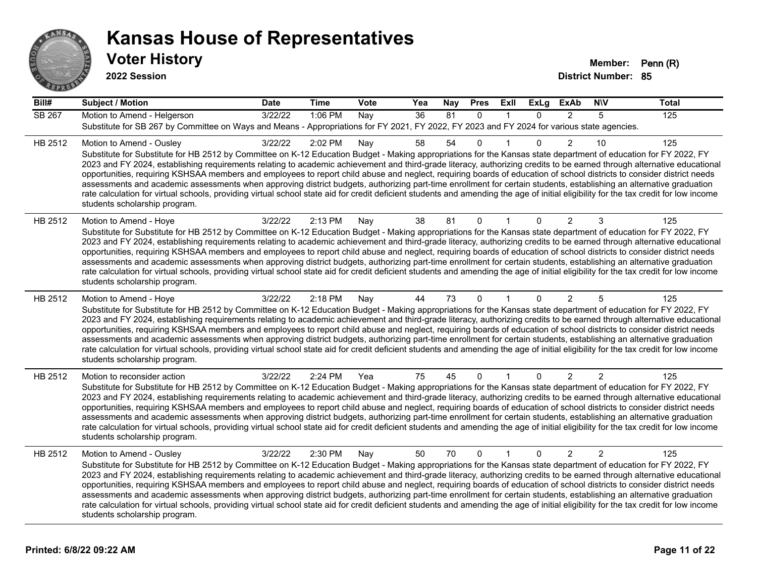

| $\overline{Bill#}$ | <b>Subject / Motion</b>                                                                                                                                                                                                                                                                                                                                                                                                                                                                                                                                                                                                                                                                                                                                                                                                                                                                                                                             | <b>Date</b> | <b>Time</b> | Vote | Yea | Nay | <b>Pres</b>  | Exll         | <b>ExLg</b> | <b>ExAb</b>    | <b>NIV</b>     | <b>Total</b>   |
|--------------------|-----------------------------------------------------------------------------------------------------------------------------------------------------------------------------------------------------------------------------------------------------------------------------------------------------------------------------------------------------------------------------------------------------------------------------------------------------------------------------------------------------------------------------------------------------------------------------------------------------------------------------------------------------------------------------------------------------------------------------------------------------------------------------------------------------------------------------------------------------------------------------------------------------------------------------------------------------|-------------|-------------|------|-----|-----|--------------|--------------|-------------|----------------|----------------|----------------|
| <b>SB 267</b>      | Motion to Amend - Helgerson<br>Substitute for SB 267 by Committee on Ways and Means - Appropriations for FY 2021, FY 2022, FY 2023 and FY 2024 for various state agencies.                                                                                                                                                                                                                                                                                                                                                                                                                                                                                                                                                                                                                                                                                                                                                                          | 3/22/22     | 1:06 PM     | Nay  | 36  | 81  | $\mathbf{0}$ | $\mathbf 1$  | $\Omega$    | $\overline{2}$ | 5              | $\frac{1}{25}$ |
| HB 2512            | Motion to Amend - Ousley<br>Substitute for Substitute for HB 2512 by Committee on K-12 Education Budget - Making appropriations for the Kansas state department of education for FY 2022, FY<br>2023 and FY 2024, establishing requirements relating to academic achievement and third-grade literacy, authorizing credits to be earned through alternative educational<br>opportunities, requiring KSHSAA members and employees to report child abuse and neglect, requiring boards of education of school districts to consider district needs<br>assessments and academic assessments when approving district budgets, authorizing part-time enrollment for certain students, establishing an alternative graduation<br>rate calculation for virtual schools, providing virtual school state aid for credit deficient students and amending the age of initial eligibility for the tax credit for low income<br>students scholarship program.    | 3/22/22     | 2:02 PM     | Nay  | 58  | 54  | $\Omega$     |              | 0           | $\overline{2}$ | 10             | 125            |
| HB 2512            | Motion to Amend - Hoye<br>Substitute for Substitute for HB 2512 by Committee on K-12 Education Budget - Making appropriations for the Kansas state department of education for FY 2022, FY<br>2023 and FY 2024, establishing requirements relating to academic achievement and third-grade literacy, authorizing credits to be earned through alternative educational<br>opportunities, requiring KSHSAA members and employees to report child abuse and neglect, requiring boards of education of school districts to consider district needs<br>assessments and academic assessments when approving district budgets, authorizing part-time enrollment for certain students, establishing an alternative graduation<br>rate calculation for virtual schools, providing virtual school state aid for credit deficient students and amending the age of initial eligibility for the tax credit for low income<br>students scholarship program.      | 3/22/22     | 2:13 PM     | Nay  | 38  | 81  | $\mathbf{0}$ |              | $\Omega$    | 2              | 3              | 125            |
| HB 2512            | Motion to Amend - Hoye<br>Substitute for Substitute for HB 2512 by Committee on K-12 Education Budget - Making appropriations for the Kansas state department of education for FY 2022, FY<br>2023 and FY 2024, establishing requirements relating to academic achievement and third-grade literacy, authorizing credits to be earned through alternative educational<br>opportunities, requiring KSHSAA members and employees to report child abuse and neglect, requiring boards of education of school districts to consider district needs<br>assessments and academic assessments when approving district budgets, authorizing part-time enrollment for certain students, establishing an alternative graduation<br>rate calculation for virtual schools, providing virtual school state aid for credit deficient students and amending the age of initial eligibility for the tax credit for low income<br>students scholarship program.      | 3/22/22     | 2:18 PM     | Nay  | 44  | 73  | $\Omega$     |              | 0           | 2              | 5              | 125            |
| HB 2512            | Motion to reconsider action<br>Substitute for Substitute for HB 2512 by Committee on K-12 Education Budget - Making appropriations for the Kansas state department of education for FY 2022, FY<br>2023 and FY 2024, establishing requirements relating to academic achievement and third-grade literacy, authorizing credits to be earned through alternative educational<br>opportunities, requiring KSHSAA members and employees to report child abuse and neglect, requiring boards of education of school districts to consider district needs<br>assessments and academic assessments when approving district budgets, authorizing part-time enrollment for certain students, establishing an alternative graduation<br>rate calculation for virtual schools, providing virtual school state aid for credit deficient students and amending the age of initial eligibility for the tax credit for low income<br>students scholarship program. | 3/22/22     | 2:24 PM     | Yea  | 75  | 45  | $\Omega$     |              | $\Omega$    | $\overline{2}$ | $\overline{2}$ | 125            |
| HB 2512            | Motion to Amend - Ousley<br>Substitute for Substitute for HB 2512 by Committee on K-12 Education Budget - Making appropriations for the Kansas state department of education for FY 2022, FY<br>2023 and FY 2024, establishing requirements relating to academic achievement and third-grade literacy, authorizing credits to be earned through alternative educational<br>opportunities, requiring KSHSAA members and employees to report child abuse and neglect, requiring boards of education of school districts to consider district needs<br>assessments and academic assessments when approving district budgets, authorizing part-time enrollment for certain students, establishing an alternative graduation<br>rate calculation for virtual schools, providing virtual school state aid for credit deficient students and amending the age of initial eligibility for the tax credit for low income<br>students scholarship program.    | 3/22/22     | 2:30 PM     | Nay  | 50  | 70  | $\mathbf{0}$ | $\mathbf{1}$ | $\Omega$    | $\overline{2}$ | $\overline{2}$ | 125            |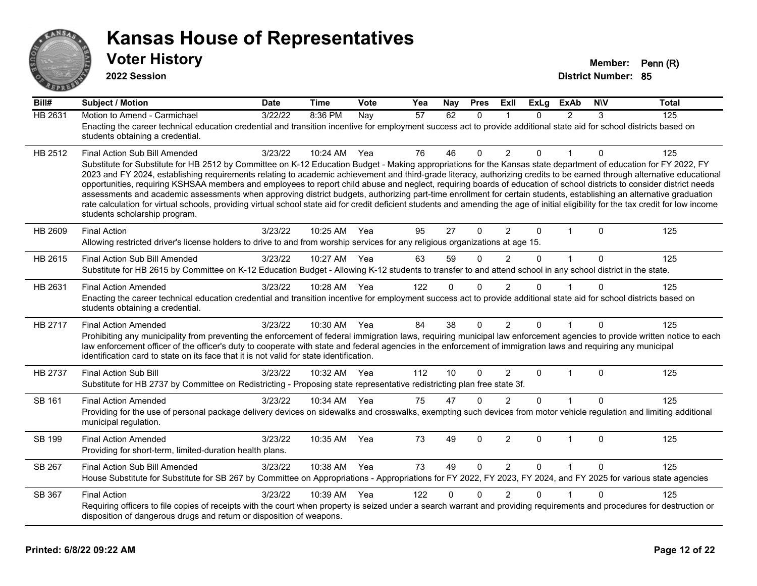

| Bill#   | <b>Subject / Motion</b>                                                                                                                                                                                                                                                                                                                                                                                                                                                                                                                                                                                                                                                                                                                                                                                                                                                                                                                               | <b>Date</b> | <b>Time</b> | Vote | Yea | Nay      | <b>Pres</b>  | <b>Exll</b>    | <b>ExLg</b>  | <b>ExAb</b>    | <b>NIV</b>   | <b>Total</b> |
|---------|-------------------------------------------------------------------------------------------------------------------------------------------------------------------------------------------------------------------------------------------------------------------------------------------------------------------------------------------------------------------------------------------------------------------------------------------------------------------------------------------------------------------------------------------------------------------------------------------------------------------------------------------------------------------------------------------------------------------------------------------------------------------------------------------------------------------------------------------------------------------------------------------------------------------------------------------------------|-------------|-------------|------|-----|----------|--------------|----------------|--------------|----------------|--------------|--------------|
| HB 2631 | Motion to Amend - Carmichael<br>Enacting the career technical education credential and transition incentive for employment success act to provide additional state aid for school districts based on<br>students obtaining a credential.                                                                                                                                                                                                                                                                                                                                                                                                                                                                                                                                                                                                                                                                                                              | 3/22/22     | 8:36 PM     | Nay  | 57  | 62       | $\mathbf{0}$ | $\mathbf 1$    | $\Omega$     | $\overline{2}$ | 3            | 125          |
| HB 2512 | Final Action Sub Bill Amended<br>Substitute for Substitute for HB 2512 by Committee on K-12 Education Budget - Making appropriations for the Kansas state department of education for FY 2022, FY<br>2023 and FY 2024, establishing requirements relating to academic achievement and third-grade literacy, authorizing credits to be earned through alternative educational<br>opportunities, requiring KSHSAA members and employees to report child abuse and neglect, requiring boards of education of school districts to consider district needs<br>assessments and academic assessments when approving district budgets, authorizing part-time enrollment for certain students, establishing an alternative graduation<br>rate calculation for virtual schools, providing virtual school state aid for credit deficient students and amending the age of initial eligibility for the tax credit for low income<br>students scholarship program. | 3/23/22     | 10:24 AM    | Yea  | 76  | 46       | $\Omega$     | $\overline{2}$ | $\mathbf{0}$ |                | $\Omega$     | 125          |
| HB 2609 | <b>Final Action</b><br>Allowing restricted driver's license holders to drive to and from worship services for any religious organizations at age 15.                                                                                                                                                                                                                                                                                                                                                                                                                                                                                                                                                                                                                                                                                                                                                                                                  | 3/23/22     | 10:25 AM    | Yea  | 95  | 27       | $\Omega$     | $\overline{2}$ | $\Omega$     | 1              | $\Omega$     | 125          |
| HB 2615 | Final Action Sub Bill Amended<br>Substitute for HB 2615 by Committee on K-12 Education Budget - Allowing K-12 students to transfer to and attend school in any school district in the state.                                                                                                                                                                                                                                                                                                                                                                                                                                                                                                                                                                                                                                                                                                                                                          | 3/23/22     | 10:27 AM    | Yea  | 63  | 59       | $\Omega$     | $\overline{2}$ | $\Omega$     | $\mathbf{1}$   | $\Omega$     | 125          |
| HB 2631 | <b>Final Action Amended</b><br>Enacting the career technical education credential and transition incentive for employment success act to provide additional state aid for school districts based on<br>students obtaining a credential.                                                                                                                                                                                                                                                                                                                                                                                                                                                                                                                                                                                                                                                                                                               | 3/23/22     | 10:28 AM    | Yea  | 122 | $\Omega$ | $\mathbf 0$  | 2              | $\Omega$     |                | $\Omega$     | 125          |
| HB 2717 | <b>Final Action Amended</b><br>Prohibiting any municipality from preventing the enforcement of federal immigration laws, requiring municipal law enforcement agencies to provide written notice to each<br>law enforcement officer of the officer's duty to cooperate with state and federal agencies in the enforcement of immigration laws and requiring any municipal<br>identification card to state on its face that it is not valid for state identification.                                                                                                                                                                                                                                                                                                                                                                                                                                                                                   | 3/23/22     | 10:30 AM    | Yea  | 84  | 38       | $\Omega$     | $\overline{2}$ | $\Omega$     | 1              | $\Omega$     | 125          |
| HB 2737 | <b>Final Action Sub Bill</b><br>Substitute for HB 2737 by Committee on Redistricting - Proposing state representative redistricting plan free state 3f.                                                                                                                                                                                                                                                                                                                                                                                                                                                                                                                                                                                                                                                                                                                                                                                               | 3/23/22     | 10:32 AM    | Yea  | 112 | 10       | $\Omega$     | $\overline{2}$ | $\mathbf{0}$ | $\mathbf{1}$   | $\Omega$     | 125          |
| SB 161  | <b>Final Action Amended</b><br>Providing for the use of personal package delivery devices on sidewalks and crosswalks, exempting such devices from motor vehicle regulation and limiting additional<br>municipal regulation.                                                                                                                                                                                                                                                                                                                                                                                                                                                                                                                                                                                                                                                                                                                          | 3/23/22     | 10:34 AM    | Yea  | 75  | 47       | $\mathbf 0$  | 2              | $\Omega$     |                | 0            | 125          |
| SB 199  | <b>Final Action Amended</b><br>Providing for short-term, limited-duration health plans.                                                                                                                                                                                                                                                                                                                                                                                                                                                                                                                                                                                                                                                                                                                                                                                                                                                               | 3/23/22     | 10:35 AM    | Yea  | 73  | 49       | $\mathbf 0$  | $\overline{2}$ | $\mathbf{0}$ | $\mathbf{1}$   | $\mathbf{0}$ | 125          |
| SB 267  | Final Action Sub Bill Amended<br>House Substitute for Substitute for SB 267 by Committee on Appropriations - Appropriations for FY 2022, FY 2023, FY 2024, and FY 2025 for various state agencies                                                                                                                                                                                                                                                                                                                                                                                                                                                                                                                                                                                                                                                                                                                                                     | 3/23/22     | 10:38 AM    | Yea  | 73  | 49       | $\Omega$     | $\overline{2}$ | $\Omega$     | 1              | $\Omega$     | 125          |
| SB 367  | <b>Final Action</b><br>Requiring officers to file copies of receipts with the court when property is seized under a search warrant and providing requirements and procedures for destruction or<br>disposition of dangerous drugs and return or disposition of weapons.                                                                                                                                                                                                                                                                                                                                                                                                                                                                                                                                                                                                                                                                               | 3/23/22     | 10:39 AM    | Yea  | 122 | $\Omega$ | $\Omega$     | $\overline{2}$ | $\Omega$     |                | $\Omega$     | 125          |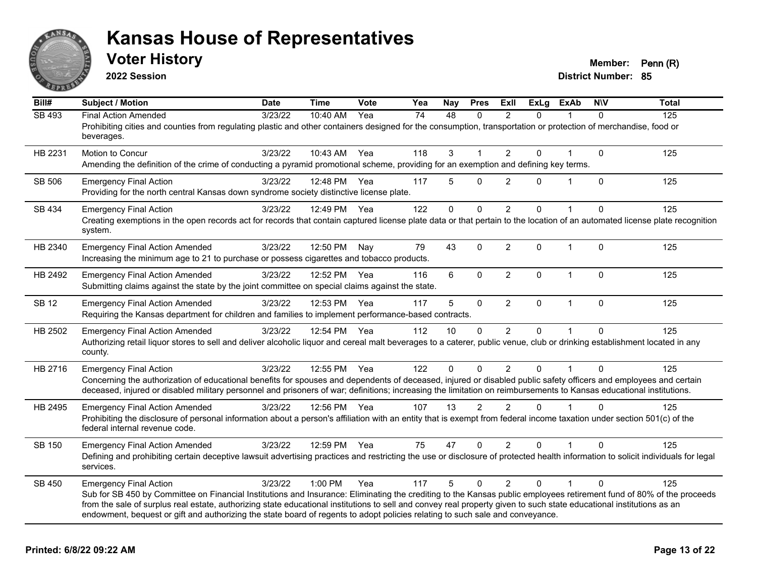

**2022 Session**

| Bill#         | <b>Subject / Motion</b>                                                                                                                                                                                                                                                                                                                                                                                                                                                                                        | <b>Date</b> | <b>Time</b>  | Vote | Yea             | Nay          | <b>Pres</b>  | Exll           | <b>ExLg</b> | <b>ExAb</b>  | <b>NIV</b>   | <b>Total</b> |
|---------------|----------------------------------------------------------------------------------------------------------------------------------------------------------------------------------------------------------------------------------------------------------------------------------------------------------------------------------------------------------------------------------------------------------------------------------------------------------------------------------------------------------------|-------------|--------------|------|-----------------|--------------|--------------|----------------|-------------|--------------|--------------|--------------|
| SB 493        | <b>Final Action Amended</b><br>Prohibiting cities and counties from regulating plastic and other containers designed for the consumption, transportation or protection of merchandise, food or<br>beverages.                                                                                                                                                                                                                                                                                                   | 3/23/22     | 10:40 AM     | Yea  | $\overline{74}$ | 48           | $\Omega$     | $\mathfrak{p}$ | $\Omega$    |              | $\Omega$     | 125          |
| HB 2231       | Motion to Concur<br>Amending the definition of the crime of conducting a pyramid promotional scheme, providing for an exemption and defining key terms.                                                                                                                                                                                                                                                                                                                                                        | 3/23/22     | 10:43 AM     | Yea  | 118             | 3            | 1            | $\overline{2}$ | 0           |              | $\mathbf 0$  | 125          |
| SB 506        | <b>Emergency Final Action</b><br>Providing for the north central Kansas down syndrome society distinctive license plate.                                                                                                                                                                                                                                                                                                                                                                                       | 3/23/22     | 12:48 PM     | Yea  | 117             | 5            | 0            | 2              | 0           | 1            | $\mathbf{0}$ | 125          |
| SB 434        | <b>Emergency Final Action</b><br>Creating exemptions in the open records act for records that contain captured license plate data or that pertain to the location of an automated license plate recognition<br>system.                                                                                                                                                                                                                                                                                         | 3/23/22     | 12:49 PM     | Yea  | 122             | $\mathbf{0}$ | $\Omega$     | $\overline{2}$ | $\Omega$    |              | $\Omega$     | 125          |
| HB 2340       | <b>Emergency Final Action Amended</b><br>Increasing the minimum age to 21 to purchase or possess cigarettes and tobacco products.                                                                                                                                                                                                                                                                                                                                                                              | 3/23/22     | 12:50 PM     | Nay  | 79              | 43           | $\mathbf 0$  | $\overline{2}$ | $\Omega$    | $\mathbf{1}$ | $\mathbf{0}$ | 125          |
| HB 2492       | <b>Emergency Final Action Amended</b><br>Submitting claims against the state by the joint committee on special claims against the state.                                                                                                                                                                                                                                                                                                                                                                       | 3/23/22     | 12:52 PM     | Yea  | 116             | 6            | $\mathbf 0$  | $\overline{2}$ | 0           | $\mathbf{1}$ | $\mathbf 0$  | 125          |
| <b>SB 12</b>  | <b>Emergency Final Action Amended</b><br>Requiring the Kansas department for children and families to implement performance-based contracts.                                                                                                                                                                                                                                                                                                                                                                   | 3/23/22     | 12:53 PM     | Yea  | 117             | 5            | $\mathbf 0$  | $\overline{2}$ | $\Omega$    | $\mathbf{1}$ | $\mathbf{0}$ | 125          |
| HB 2502       | <b>Emergency Final Action Amended</b><br>Authorizing retail liquor stores to sell and deliver alcoholic liquor and cereal malt beverages to a caterer, public venue, club or drinking establishment located in any<br>county.                                                                                                                                                                                                                                                                                  | 3/23/22     | 12:54 PM Yea |      | 112             | 10           | $\mathbf{0}$ | 2              | 0           |              | $\Omega$     | 125          |
| HB 2716       | <b>Emergency Final Action</b><br>Concerning the authorization of educational benefits for spouses and dependents of deceased, injured or disabled public safety officers and employees and certain<br>deceased, injured or disabled military personnel and prisoners of war; definitions; increasing the limitation on reimbursements to Kansas educational institutions.                                                                                                                                      | 3/23/22     | 12:55 PM     | Yea  | 122             | $\mathbf 0$  | $\Omega$     | $\overline{2}$ | $\Omega$    |              | $\Omega$     | 125          |
| HB 2495       | <b>Emergency Final Action Amended</b><br>Prohibiting the disclosure of personal information about a person's affiliation with an entity that is exempt from federal income taxation under section 501(c) of the<br>federal internal revenue code.                                                                                                                                                                                                                                                              | 3/23/22     | 12:56 PM Yea |      | 107             | 13           | 2            | 2              | $\Omega$    |              | $\Omega$     | 125          |
| <b>SB 150</b> | <b>Emergency Final Action Amended</b><br>Defining and prohibiting certain deceptive lawsuit advertising practices and restricting the use or disclosure of protected health information to solicit individuals for legal<br>services.                                                                                                                                                                                                                                                                          | 3/23/22     | 12:59 PM     | Yea  | 75              | 47           | $\Omega$     | 2              | $\Omega$    |              | $\Omega$     | 125          |
| SB 450        | <b>Emergency Final Action</b><br>Sub for SB 450 by Committee on Financial Institutions and Insurance: Eliminating the crediting to the Kansas public employees retirement fund of 80% of the proceeds<br>from the sale of surplus real estate, authorizing state educational institutions to sell and convey real property given to such state educational institutions as an<br>endowment, bequest or gift and authorizing the state board of regents to adopt policies relating to such sale and conveyance. | 3/23/22     | 1:00 PM      | Yea  | 117             | 5            | $\Omega$     | $\mathcal{P}$  | $\Omega$    | 1            | $\Omega$     | 125          |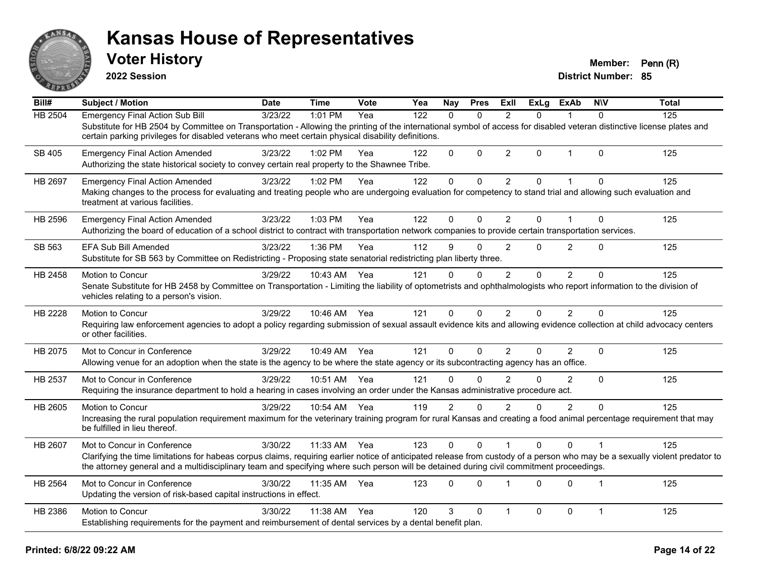

**2022 Session**

| Bill#          | <b>Subject / Motion</b>                                                                                                                                                                                                                                                                                                                                 | <b>Date</b> | <b>Time</b>  | Vote | Yea | Nay            | <b>Pres</b>    | ExII           | $\overline{ExLg}$ | <b>ExAb</b>    | <b>NIV</b>     | <b>Total</b> |
|----------------|---------------------------------------------------------------------------------------------------------------------------------------------------------------------------------------------------------------------------------------------------------------------------------------------------------------------------------------------------------|-------------|--------------|------|-----|----------------|----------------|----------------|-------------------|----------------|----------------|--------------|
| <b>HB 2504</b> | <b>Emergency Final Action Sub Bill</b><br>Substitute for HB 2504 by Committee on Transportation - Allowing the printing of the international symbol of access for disabled veteran distinctive license plates and<br>certain parking privileges for disabled veterans who meet certain physical disability definitions.                                 | 3/23/22     | 1:01 PM      | Yea  | 122 | $\Omega$       | $\Omega$       | 2              | $\Omega$          |                | $\Omega$       | 125          |
| SB 405         | <b>Emergency Final Action Amended</b><br>Authorizing the state historical society to convey certain real property to the Shawnee Tribe.                                                                                                                                                                                                                 | 3/23/22     | 1:02 PM      | Yea  | 122 | $\mathbf{0}$   | $\Omega$       | 2              | 0                 | $\mathbf 1$    | $\Omega$       | 125          |
| <b>HB 2697</b> | <b>Emergency Final Action Amended</b><br>Making changes to the process for evaluating and treating people who are undergoing evaluation for competency to stand trial and allowing such evaluation and<br>treatment at various facilities.                                                                                                              | 3/23/22     | 1:02 PM      | Yea  | 122 | $\mathbf 0$    | $\Omega$       | $\overline{2}$ | $\Omega$          | $\mathbf{1}$   | $\mathbf{0}$   | 125          |
| HB 2596        | <b>Emergency Final Action Amended</b><br>Authorizing the board of education of a school district to contract with transportation network companies to provide certain transportation services.                                                                                                                                                          | 3/23/22     | $1:03$ PM    | Yea  | 122 | $\Omega$       | $\Omega$       | $\overline{2}$ | 0                 | 1              | $\Omega$       | 125          |
| SB 563         | EFA Sub Bill Amended<br>Substitute for SB 563 by Committee on Redistricting - Proposing state senatorial redistricting plan liberty three.                                                                                                                                                                                                              | 3/23/22     | 1:36 PM      | Yea  | 112 | 9              | $\Omega$       | $\overline{2}$ | 0                 | $\overline{2}$ | $\Omega$       | 125          |
| HB 2458        | Motion to Concur<br>Senate Substitute for HB 2458 by Committee on Transportation - Limiting the liability of optometrists and ophthalmologists who report information to the division of<br>vehicles relating to a person's vision.                                                                                                                     | 3/29/22     | 10:43 AM     | Yea  | 121 | $\Omega$       | $\Omega$       | 2              | $\Omega$          | $\overline{2}$ | $\Omega$       | 125          |
| HB 2228        | Motion to Concur<br>Requiring law enforcement agencies to adopt a policy regarding submission of sexual assault evidence kits and allowing evidence collection at child advocacy centers<br>or other facilities.                                                                                                                                        | 3/29/22     | 10:46 AM Yea |      | 121 | 0              | $\overline{0}$ | $\overline{2}$ | 0                 | $\overline{2}$ | $\Omega$       | 125          |
| HB 2075        | Mot to Concur in Conference<br>Allowing venue for an adoption when the state is the agency to be where the state agency or its subcontracting agency has an office.                                                                                                                                                                                     | 3/29/22     | 10:49 AM     | Yea  | 121 | $\mathbf{0}$   | $\Omega$       | $\overline{2}$ | 0                 | 2              | $\mathbf{0}$   | 125          |
| HB 2537        | Mot to Concur in Conference<br>Requiring the insurance department to hold a hearing in cases involving an order under the Kansas administrative procedure act.                                                                                                                                                                                          | 3/29/22     | 10:51 AM     | Yea  | 121 | $\Omega$       | $\Omega$       | $\mathfrak{p}$ | $\Omega$          | $\mathcal{P}$  | $\Omega$       | 125          |
| HB 2605        | Motion to Concur<br>Increasing the rural population requirement maximum for the veterinary training program for rural Kansas and creating a food animal percentage requirement that may<br>be fulfilled in lieu thereof.                                                                                                                                | 3/29/22     | 10:54 AM     | Yea  | 119 | $\overline{2}$ | $\Omega$       | $\overline{2}$ | 0                 | $\overline{2}$ | $\Omega$       | 125          |
| HB 2607        | Mot to Concur in Conference<br>Clarifying the time limitations for habeas corpus claims, requiring earlier notice of anticipated release from custody of a person who may be a sexually violent predator to<br>the attorney general and a multidisciplinary team and specifying where such person will be detained during civil commitment proceedings. | 3/30/22     | 11:33 AM     | Yea  | 123 | $\mathbf{0}$   | $\Omega$       |                | $\Omega$          | $\Omega$       |                | 125          |
| <b>HB 2564</b> | Mot to Concur in Conference<br>Updating the version of risk-based capital instructions in effect.                                                                                                                                                                                                                                                       | 3/30/22     | 11:35 AM     | Yea  | 123 | $\Omega$       | $\Omega$       |                | 0                 | $\Omega$       | $\overline{1}$ | 125          |
| HB 2386        | Motion to Concur<br>Establishing requirements for the payment and reimbursement of dental services by a dental benefit plan.                                                                                                                                                                                                                            | 3/30/22     | 11:38 AM     | Yea  | 120 | 3              | $\mathbf 0$    | -1             | 0                 | $\mathbf 0$    | $\mathbf{1}$   | 125          |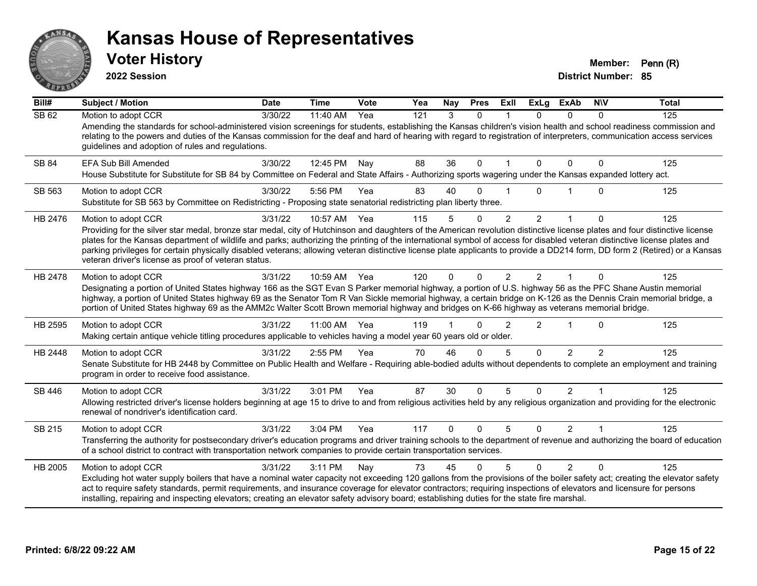

**2022 Session**

| Bill#        | <b>Subject / Motion</b>                                                                                                                                                                                                                                                                                                                                                                                                                                                                                                                                                                                                 | <b>Date</b> | <b>Time</b> | <b>Vote</b> | Yea | Nay      | <b>Pres</b> | <b>ExII</b>    | <b>ExLg</b>    | <b>ExAb</b>    | <b>NIV</b>     | <b>Total</b> |
|--------------|-------------------------------------------------------------------------------------------------------------------------------------------------------------------------------------------------------------------------------------------------------------------------------------------------------------------------------------------------------------------------------------------------------------------------------------------------------------------------------------------------------------------------------------------------------------------------------------------------------------------------|-------------|-------------|-------------|-----|----------|-------------|----------------|----------------|----------------|----------------|--------------|
| <b>SB 62</b> | Motion to adopt CCR<br>Amending the standards for school-administered vision screenings for students, establishing the Kansas children's vision health and school readiness commission and<br>relating to the powers and duties of the Kansas commission for the deaf and hard of hearing with regard to registration of interpreters, communication access services<br>guidelines and adoption of rules and regulations.                                                                                                                                                                                               | 3/30/22     | 11:40 AM    | Yea         | 121 | 3        | $\Omega$    |                | $\Omega$       | $\Omega$       | $\Omega$       | 125          |
| SB 84        | EFA Sub Bill Amended<br>House Substitute for Substitute for SB 84 by Committee on Federal and State Affairs - Authorizing sports wagering under the Kansas expanded lottery act.                                                                                                                                                                                                                                                                                                                                                                                                                                        | 3/30/22     | 12:45 PM    | Nay         | 88  | 36       | $\Omega$    |                | $\Omega$       | $\Omega$       | $\mathbf{0}$   | 125          |
| SB 563       | Motion to adopt CCR<br>Substitute for SB 563 by Committee on Redistricting - Proposing state senatorial redistricting plan liberty three.                                                                                                                                                                                                                                                                                                                                                                                                                                                                               | 3/30/22     | 5:56 PM     | Yea         | 83  | 40       | 0           |                | $\Omega$       |                | $\mathbf{0}$   | 125          |
| HB 2476      | Motion to adopt CCR<br>Providing for the silver star medal, bronze star medal, city of Hutchinson and daughters of the American revolution distinctive license plates and four distinctive license<br>plates for the Kansas department of wildlife and parks; authorizing the printing of the international symbol of access for disabled veteran distinctive license plates and<br>parking privileges for certain physically disabled veterans; allowing veteran distinctive license plate applicants to provide a DD214 form, DD form 2 (Retired) or a Kansas<br>veteran driver's license as proof of veteran status. | 3/31/22     | 10:57 AM    | Yea         | 115 | 5        | 0           | $\overline{2}$ | $\overline{2}$ |                | $\mathbf{0}$   | 125          |
| HB 2478      | Motion to adopt CCR<br>Designating a portion of United States highway 166 as the SGT Evan S Parker memorial highway, a portion of U.S. highway 56 as the PFC Shane Austin memorial<br>highway, a portion of United States highway 69 as the Senator Tom R Van Sickle memorial highway, a certain bridge on K-126 as the Dennis Crain memorial bridge, a<br>portion of United States highway 69 as the AMM2c Walter Scott Brown memorial highway and bridges on K-66 highway as veterans memorial bridge.                                                                                                                | 3/31/22     | 10:59 AM    | Yea         | 120 | 0        | 0           | $\overline{2}$ | $\overline{2}$ |                | $\mathbf{0}$   | 125          |
| HB 2595      | Motion to adopt CCR<br>Making certain antique vehicle titling procedures applicable to vehicles having a model year 60 years old or older.                                                                                                                                                                                                                                                                                                                                                                                                                                                                              | 3/31/22     | 11:00 AM    | Yea         | 119 |          | $\Omega$    | $\mathfrak{p}$ | $\mathcal{P}$  | 1              | $\mathbf{0}$   | 125          |
| HB 2448      | Motion to adopt CCR<br>Senate Substitute for HB 2448 by Committee on Public Health and Welfare - Requiring able-bodied adults without dependents to complete an employment and training<br>program in order to receive food assistance.                                                                                                                                                                                                                                                                                                                                                                                 | 3/31/22     | 2:55 PM     | Yea         | 70  | 46       | $\Omega$    | 5              | $\Omega$       | $\mathcal{P}$  | $\mathfrak{p}$ | 125          |
| SB 446       | Motion to adopt CCR<br>Allowing restricted driver's license holders beginning at age 15 to drive to and from religious activities held by any religious organization and providing for the electronic<br>renewal of nondriver's identification card.                                                                                                                                                                                                                                                                                                                                                                    | 3/31/22     | 3:01 PM     | Yea         | 87  | 30       | 0           | 5              | $\Omega$       | $\overline{2}$ |                | 125          |
| SB 215       | Motion to adopt CCR<br>Transferring the authority for postsecondary driver's education programs and driver training schools to the department of revenue and authorizing the board of education<br>of a school district to contract with transportation network companies to provide certain transportation services.                                                                                                                                                                                                                                                                                                   | 3/31/22     | 3:04 PM     | Yea         | 117 | $\Omega$ | $\Omega$    | 5              | $\Omega$       | 2              |                | 125          |
| HB 2005      | Motion to adopt CCR<br>Excluding hot water supply boilers that have a nominal water capacity not exceeding 120 gallons from the provisions of the boiler safety act; creating the elevator safety<br>act to require safety standards, permit requirements, and insurance coverage for elevator contractors; requiring inspections of elevators and licensure for persons<br>installing, repairing and inspecting elevators; creating an elevator safety advisory board; establishing duties for the state fire marshal.                                                                                                 | 3/31/22     | 3:11 PM     | Nay         | 73  | 45       | $\Omega$    | 5              | $\Omega$       | 2              | $\Omega$       | 125          |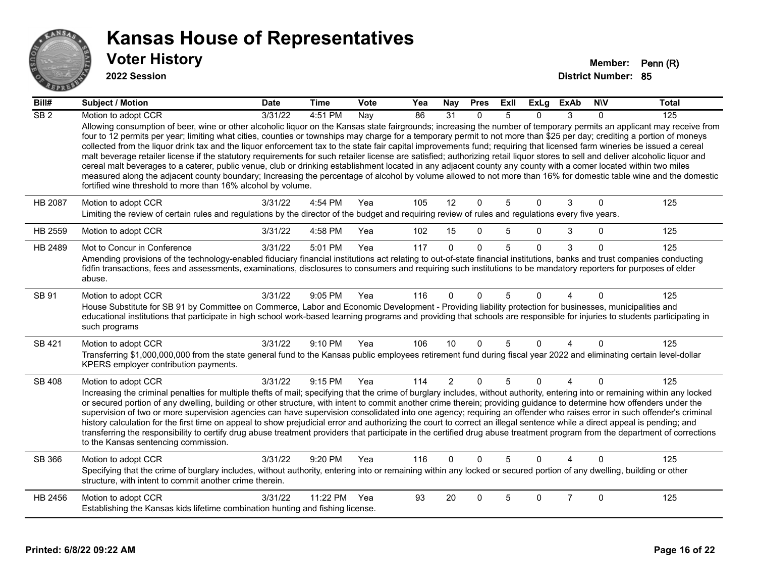

| Bill#           | <b>Subject / Motion</b>                                                                                                                                                                                                                                                                                                                                                                                                                                                                                                                                                                                                                                                                                                                                                                                                                                                                                                                                                                                                                                                                                                   | <b>Date</b> | <b>Time</b>  | Vote | Yea | <b>Nay</b>     | <b>Pres</b>  | ExII | <b>ExLg</b>  | <b>ExAb</b>    | <b>NIV</b>  | <b>Total</b> |
|-----------------|---------------------------------------------------------------------------------------------------------------------------------------------------------------------------------------------------------------------------------------------------------------------------------------------------------------------------------------------------------------------------------------------------------------------------------------------------------------------------------------------------------------------------------------------------------------------------------------------------------------------------------------------------------------------------------------------------------------------------------------------------------------------------------------------------------------------------------------------------------------------------------------------------------------------------------------------------------------------------------------------------------------------------------------------------------------------------------------------------------------------------|-------------|--------------|------|-----|----------------|--------------|------|--------------|----------------|-------------|--------------|
| SB <sub>2</sub> | Motion to adopt CCR                                                                                                                                                                                                                                                                                                                                                                                                                                                                                                                                                                                                                                                                                                                                                                                                                                                                                                                                                                                                                                                                                                       | 3/31/22     | 4:51 PM      | Nay  | 86  | 31             | $\Omega$     |      | 0            | 3              | $\Omega$    | 125          |
|                 | Allowing consumption of beer, wine or other alcoholic liquor on the Kansas state fairgrounds; increasing the number of temporary permits an applicant may receive from<br>four to 12 permits per year; limiting what cities, counties or townships may charge for a temporary permit to not more than \$25 per day; crediting a portion of moneys<br>collected from the liquor drink tax and the liquor enforcement tax to the state fair capital improvements fund; requiring that licensed farm wineries be issued a cereal<br>malt beverage retailer license if the statutory requirements for such retailer license are satisfied; authorizing retail liquor stores to sell and deliver alcoholic liquor and<br>cereal malt beverages to a caterer, public venue, club or drinking establishment located in any adjacent county any county with a comer located within two miles<br>measured along the adjacent county boundary; Increasing the percentage of alcohol by volume allowed to not more than 16% for domestic table wine and the domestic<br>fortified wine threshold to more than 16% alcohol by volume. |             |              |      |     |                |              |      |              |                |             |              |
| <b>HB 2087</b>  | Motion to adopt CCR<br>Limiting the review of certain rules and regulations by the director of the budget and requiring review of rules and regulations every five years.                                                                                                                                                                                                                                                                                                                                                                                                                                                                                                                                                                                                                                                                                                                                                                                                                                                                                                                                                 | 3/31/22     | 4:54 PM      | Yea  | 105 | 12             | 0            | 5    | $\mathbf 0$  | 3              | $\mathbf 0$ | 125          |
| HB 2559         | Motion to adopt CCR                                                                                                                                                                                                                                                                                                                                                                                                                                                                                                                                                                                                                                                                                                                                                                                                                                                                                                                                                                                                                                                                                                       | 3/31/22     | 4:58 PM      | Yea  | 102 | 15             | $\mathbf 0$  | 5    | $\mathbf{0}$ | 3              | $\Omega$    | 125          |
| HB 2489         | Mot to Concur in Conference                                                                                                                                                                                                                                                                                                                                                                                                                                                                                                                                                                                                                                                                                                                                                                                                                                                                                                                                                                                                                                                                                               | 3/31/22     | 5:01 PM      | Yea  | 117 | $\mathbf{0}$   | $\Omega$     | 5    | $\Omega$     | 3              | $\Omega$    | 125          |
|                 | Amending provisions of the technology-enabled fiduciary financial institutions act relating to out-of-state financial institutions, banks and trust companies conducting<br>fidfin transactions, fees and assessments, examinations, disclosures to consumers and requiring such institutions to be mandatory reporters for purposes of elder<br>abuse.                                                                                                                                                                                                                                                                                                                                                                                                                                                                                                                                                                                                                                                                                                                                                                   |             |              |      |     |                |              |      |              |                |             |              |
| SB 91           | Motion to adopt CCR<br>House Substitute for SB 91 by Committee on Commerce, Labor and Economic Development - Providing liability protection for businesses, municipalities and<br>educational institutions that participate in high school work-based learning programs and providing that schools are responsible for injuries to students participating in<br>such programs                                                                                                                                                                                                                                                                                                                                                                                                                                                                                                                                                                                                                                                                                                                                             | 3/31/22     | 9:05 PM      | Yea  | 116 | 0              | $\Omega$     | 5    | 0            |                | $\Omega$    | 125          |
| SB 421          | Motion to adopt CCR                                                                                                                                                                                                                                                                                                                                                                                                                                                                                                                                                                                                                                                                                                                                                                                                                                                                                                                                                                                                                                                                                                       | 3/31/22     | 9:10 PM      | Yea  | 106 | 10             | $\Omega$     | 5    | $\mathbf{0}$ | 4              | $\Omega$    | 125          |
|                 | Transferring \$1,000,000,000 from the state general fund to the Kansas public employees retirement fund during fiscal year 2022 and eliminating certain level-dollar<br>KPERS employer contribution payments.                                                                                                                                                                                                                                                                                                                                                                                                                                                                                                                                                                                                                                                                                                                                                                                                                                                                                                             |             |              |      |     |                |              |      |              |                |             |              |
| <b>SB 408</b>   | Motion to adopt CCR<br>Increasing the criminal penalties for multiple thefts of mail; specifying that the crime of burglary includes, without authority, entering into or remaining within any locked<br>or secured portion of any dwelling, building or other structure, with intent to commit another crime therein; providing guidance to determine how offenders under the<br>supervision of two or more supervision agencies can have supervision consolidated into one agency; requiring an offender who raises error in such offender's criminal<br>history calculation for the first time on appeal to show prejudicial error and authorizing the court to correct an illegal sentence while a direct appeal is pending; and<br>transferring the responsibility to certify drug abuse treatment providers that participate in the certified drug abuse treatment program from the department of corrections<br>to the Kansas sentencing commission.                                                                                                                                                               | 3/31/22     | 9:15 PM      | Yea  | 114 | $\overline{2}$ | $\mathbf{0}$ | 5    | $\Omega$     | $\overline{4}$ | $\Omega$    | 125          |
| SB 366          | Motion to adopt CCR                                                                                                                                                                                                                                                                                                                                                                                                                                                                                                                                                                                                                                                                                                                                                                                                                                                                                                                                                                                                                                                                                                       | 3/31/22     | 9:20 PM      | Yea  | 116 | $\Omega$       | $\Omega$     | 5    | $\Omega$     | Δ              | $\Omega$    | 125          |
|                 | Specifying that the crime of burglary includes, without authority, entering into or remaining within any locked or secured portion of any dwelling, building or other<br>structure, with intent to commit another crime therein.                                                                                                                                                                                                                                                                                                                                                                                                                                                                                                                                                                                                                                                                                                                                                                                                                                                                                          |             |              |      |     |                |              |      |              |                |             |              |
| HB 2456         | Motion to adopt CCR                                                                                                                                                                                                                                                                                                                                                                                                                                                                                                                                                                                                                                                                                                                                                                                                                                                                                                                                                                                                                                                                                                       | 3/31/22     | 11:22 PM Yea |      | 93  | 20             | $\Omega$     | 5    | $\mathbf{0}$ | $\overline{7}$ | $\mathbf 0$ | 125          |
|                 | Establishing the Kansas kids lifetime combination hunting and fishing license.                                                                                                                                                                                                                                                                                                                                                                                                                                                                                                                                                                                                                                                                                                                                                                                                                                                                                                                                                                                                                                            |             |              |      |     |                |              |      |              |                |             |              |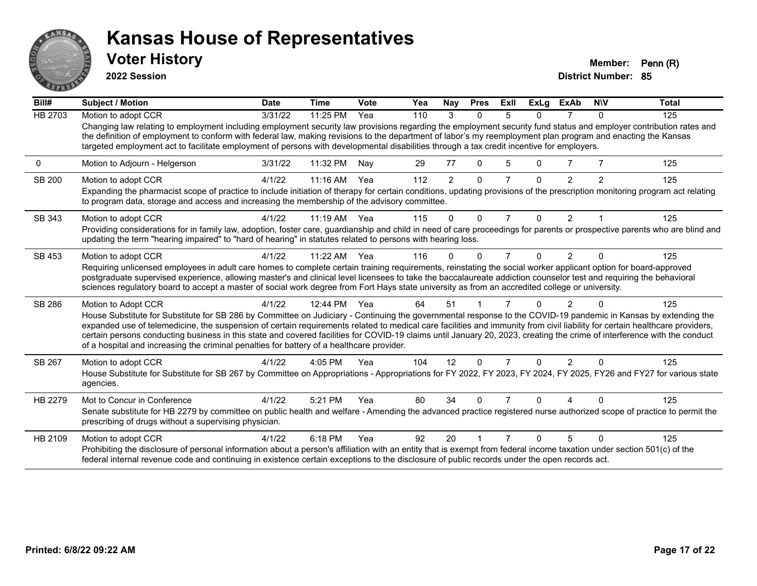

**2022 Session**

| Bill#          | Subject / Motion                                                                                                                                                                                                                                                                                                                                                                                                                                                                                                                                                                                                        | <b>Date</b> | <b>Time</b> | Vote | Yea | Nay            | <b>Pres</b>  | <b>ExII</b>    | <b>ExLg</b> | <b>ExAb</b>    | <b>NIV</b>    | <b>Total</b> |
|----------------|-------------------------------------------------------------------------------------------------------------------------------------------------------------------------------------------------------------------------------------------------------------------------------------------------------------------------------------------------------------------------------------------------------------------------------------------------------------------------------------------------------------------------------------------------------------------------------------------------------------------------|-------------|-------------|------|-----|----------------|--------------|----------------|-------------|----------------|---------------|--------------|
| <b>HB 2703</b> | Motion to adopt CCR                                                                                                                                                                                                                                                                                                                                                                                                                                                                                                                                                                                                     | 3/31/22     | 11:25 PM    | Yea  | 110 | 3              | $\Omega$     | 5              | 0           |                | $\Omega$      | 125          |
|                | Changing law relating to employment including employment security law provisions regarding the employment security fund status and employer contribution rates and<br>the definition of employment to conform with federal law, making revisions to the department of labor's my reemployment plan program and enacting the Kansas<br>targeted employment act to facilitate employment of persons with developmental disabilities through a tax credit incentive for employers.                                                                                                                                         |             |             |      |     |                |              |                |             |                |               |              |
| 0              | Motion to Adjourn - Helgerson                                                                                                                                                                                                                                                                                                                                                                                                                                                                                                                                                                                           | 3/31/22     | 11:32 PM    | Nay  | 29  | 77             | $\mathbf{0}$ | 5              | 0           |                |               | 125          |
| <b>SB 200</b>  | Motion to adopt CCR<br>Expanding the pharmacist scope of practice to include initiation of therapy for certain conditions, updating provisions of the prescription monitoring program act relating                                                                                                                                                                                                                                                                                                                                                                                                                      | 4/1/22      | $11:16$ AM  | Yea  | 112 | $\overline{2}$ | $\Omega$     |                | 0           | $\mathfrak{p}$ | $\mathcal{P}$ | 125          |
|                | to program data, storage and access and increasing the membership of the advisory committee.                                                                                                                                                                                                                                                                                                                                                                                                                                                                                                                            |             |             |      |     |                |              |                |             |                |               |              |
| SB 343         | Motion to adopt CCR                                                                                                                                                                                                                                                                                                                                                                                                                                                                                                                                                                                                     | 4/1/22      | $11:19$ AM  | Yea  | 115 | 0              | $\Omega$     | $\overline{7}$ | $\Omega$    | $\overline{2}$ |               | 125          |
|                | Providing considerations for in family law, adoption, foster care, guardianship and child in need of care proceedings for parents or prospective parents who are blind and<br>updating the term "hearing impaired" to "hard of hearing" in statutes related to persons with hearing loss.                                                                                                                                                                                                                                                                                                                               |             |             |      |     |                |              |                |             |                |               |              |
| SB 453         | Motion to adopt CCR                                                                                                                                                                                                                                                                                                                                                                                                                                                                                                                                                                                                     | 4/1/22      | $11:22$ AM  | Yea  | 116 | 0              | $\Omega$     | 7              | $\Omega$    | 2              | $\Omega$      | 125          |
|                | Requiring unlicensed employees in adult care homes to complete certain training requirements, reinstating the social worker applicant option for board-approved<br>postgraduate supervised experience, allowing master's and clinical level licensees to take the baccalaureate addiction counselor test and requiring the behavioral<br>sciences regulatory board to accept a master of social work degree from Fort Hays state university as from an accredited college or university.                                                                                                                                |             |             |      |     |                |              |                |             |                |               |              |
| SB 286         | Motion to Adopt CCR                                                                                                                                                                                                                                                                                                                                                                                                                                                                                                                                                                                                     | 4/1/22      | 12:44 PM    | Yea  | 64  | 51             |              |                |             |                |               | 125          |
|                | House Substitute for Substitute for SB 286 by Committee on Judiciary - Continuing the governmental response to the COVID-19 pandemic in Kansas by extending the<br>expanded use of telemedicine, the suspension of certain requirements related to medical care facilities and immunity from civil liability for certain healthcare providers,<br>certain persons conducting business in this state and covered facilities for COVID-19 claims until January 20, 2023, creating the crime of interference with the conduct<br>of a hospital and increasing the criminal penalties for battery of a healthcare provider. |             |             |      |     |                |              |                |             |                |               |              |
| SB 267         | Motion to adopt CCR                                                                                                                                                                                                                                                                                                                                                                                                                                                                                                                                                                                                     | 4/1/22      | 4:05 PM     | Yea  | 104 | 12             | $\Omega$     | $\overline{7}$ | $\Omega$    | $\overline{2}$ | $\Omega$      | 125          |
|                | House Substitute for Substitute for SB 267 by Committee on Appropriations - Appropriations for FY 2022, FY 2023, FY 2024, FY 2025, FY26 and FY27 for various state<br>agencies.                                                                                                                                                                                                                                                                                                                                                                                                                                         |             |             |      |     |                |              |                |             |                |               |              |
| HB 2279        | Mot to Concur in Conference<br>Senate substitute for HB 2279 by committee on public health and welfare - Amending the advanced practice registered nurse authorized scope of practice to permit the<br>prescribing of drugs without a supervising physician.                                                                                                                                                                                                                                                                                                                                                            | 4/1/22      | 5:21 PM     | Yea  | 80  | 34             | $\Omega$     |                | 0           |                |               | 125          |
|                |                                                                                                                                                                                                                                                                                                                                                                                                                                                                                                                                                                                                                         |             |             |      |     |                |              |                |             |                |               |              |
| HB 2109        | Motion to adopt CCR<br>Prohibiting the disclosure of personal information about a person's affiliation with an entity that is exempt from federal income taxation under section 501(c) of the<br>federal internal revenue code and continuing in existence certain exceptions to the disclosure of public records under the open records act.                                                                                                                                                                                                                                                                           | 4/1/22      | 6:18 PM     | Yea  | 92  | 20             |              |                | ŋ           | 5              |               | 125          |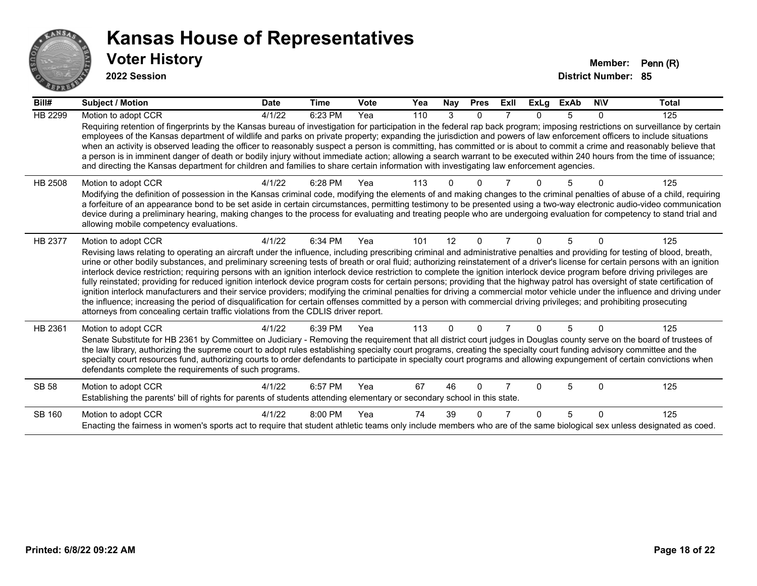

| Bill#          | <b>Subject / Motion</b>                                                                                                                                                                                                                                                                                                                                                                                                                                                                                                                                                                                                                                                                                                                                                                                                                                                                                                                                                                                                                                                                                                                                                                               | <b>Date</b> | Time    | Vote | Yea | <b>Nay</b> | <b>Pres</b> | ExII | <b>ExLg</b> | <b>ExAb</b> | <b>NIV</b> | <b>Total</b> |
|----------------|-------------------------------------------------------------------------------------------------------------------------------------------------------------------------------------------------------------------------------------------------------------------------------------------------------------------------------------------------------------------------------------------------------------------------------------------------------------------------------------------------------------------------------------------------------------------------------------------------------------------------------------------------------------------------------------------------------------------------------------------------------------------------------------------------------------------------------------------------------------------------------------------------------------------------------------------------------------------------------------------------------------------------------------------------------------------------------------------------------------------------------------------------------------------------------------------------------|-------------|---------|------|-----|------------|-------------|------|-------------|-------------|------------|--------------|
| HB 2299        | Motion to adopt CCR<br>Requiring retention of fingerprints by the Kansas bureau of investigation for participation in the federal rap back program; imposing restrictions on surveillance by certain<br>employees of the Kansas department of wildlife and parks on private property; expanding the jurisdiction and powers of law enforcement officers to include situations<br>when an activity is observed leading the officer to reasonably suspect a person is committing, has committed or is about to commit a crime and reasonably believe that<br>a person is in imminent danger of death or bodily injury without immediate action; allowing a search warrant to be executed within 240 hours from the time of issuance;<br>and directing the Kansas department for children and families to share certain information with investigating law enforcement agencies.                                                                                                                                                                                                                                                                                                                         | 4/1/22      | 6:23 PM | Yea  | 110 | 3          | $\Omega$    |      | U           | 5           | 0          | 125          |
| <b>HB 2508</b> | Motion to adopt CCR<br>Modifying the definition of possession in the Kansas criminal code, modifying the elements of and making changes to the criminal penalties of abuse of a child, requiring<br>a forfeiture of an appearance bond to be set aside in certain circumstances, permitting testimony to be presented using a two-way electronic audio-video communication<br>device during a preliminary hearing, making changes to the process for evaluating and treating people who are undergoing evaluation for competency to stand trial and<br>allowing mobile competency evaluations.                                                                                                                                                                                                                                                                                                                                                                                                                                                                                                                                                                                                        | 4/1/22      | 6:28 PM | Yea  | 113 |            |             |      |             |             |            | 125          |
| HB 2377        | Motion to adopt CCR<br>Revising laws relating to operating an aircraft under the influence, including prescribing criminal and administrative penalties and providing for testing of blood, breath,<br>urine or other bodily substances, and preliminary screening tests of breath or oral fluid; authorizing reinstatement of a driver's license for certain persons with an ignition<br>interlock device restriction; requiring persons with an ignition interlock device restriction to complete the ignition interlock device program before driving privileges are<br>fully reinstated; providing for reduced ignition interlock device program costs for certain persons; providing that the highway patrol has oversight of state certification of<br>ignition interlock manufacturers and their service providers; modifying the criminal penalties for driving a commercial motor vehicle under the influence and driving under<br>the influence; increasing the period of disqualification for certain offenses committed by a person with commercial driving privileges; and prohibiting prosecuting<br>attorneys from concealing certain traffic violations from the CDLIS driver report. | 4/1/22      | 6:34 PM | Yea  | 101 | 12         | $\Omega$    |      | 0           | 5           | $\Omega$   | 125          |
| HB 2361        | Motion to adopt CCR<br>Senate Substitute for HB 2361 by Committee on Judiciary - Removing the requirement that all district court judges in Douglas county serve on the board of trustees of<br>the law library, authorizing the supreme court to adopt rules establishing specialty court programs, creating the specialty court funding advisory committee and the<br>specialty court resources fund, authorizing courts to order defendants to participate in specialty court programs and allowing expungement of certain convictions when<br>defendants complete the requirements of such programs.                                                                                                                                                                                                                                                                                                                                                                                                                                                                                                                                                                                              | 4/1/22      | 6:39 PM | Yea  | 113 | $\Omega$   | $\Omega$    |      | $\Omega$    | 5           | $\Omega$   | 125          |
| SB 58          | Motion to adopt CCR<br>Establishing the parents' bill of rights for parents of students attending elementary or secondary school in this state.                                                                                                                                                                                                                                                                                                                                                                                                                                                                                                                                                                                                                                                                                                                                                                                                                                                                                                                                                                                                                                                       | 4/1/22      | 6:57 PM | Yea  | 67  | 46         | $\Omega$    |      | ŋ           | 5           | $\Omega$   | 125          |
| SB 160         | Motion to adopt CCR<br>Enacting the fairness in women's sports act to require that student athletic teams only include members who are of the same biological sex unless designated as coed.                                                                                                                                                                                                                                                                                                                                                                                                                                                                                                                                                                                                                                                                                                                                                                                                                                                                                                                                                                                                          | 4/1/22      | 8:00 PM | Yea  | 74  | 39         |             |      | ∩           | 5           | $\Omega$   | 125          |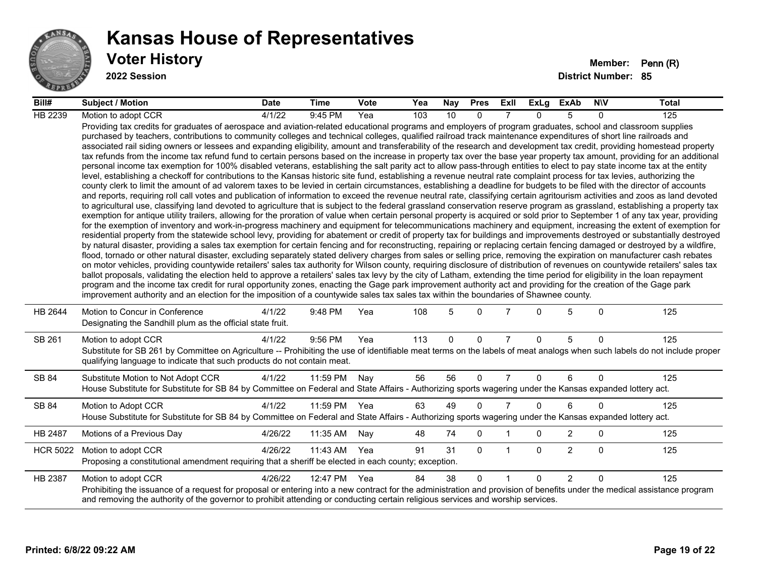

#### **Voter History Member: Penn (R) Kansas House of Representatives**

| Bill#           | Subject / Motion                                                                                                                                                                                                                                                                                                                                                                                                                                                                                                                                                                                                                                                                                                                                                                                                                                                                                                                                                                                                                                                                                                                                                                                                                                                                                                                                                                                                                                                                                                                                                                                                                                                                                                                                                                                                                                                                                                                                                                                                                                                                                                                                                                                                                                                                                                                                                                                                                                                                                                                                                                                                                                                                                                                                                                                                                                                                                                                                                                                                                                                                                                                                                            | <b>Date</b>      | Time         | <b>Vote</b> | Yea | Nay | <b>Pres</b> | Exll           | ExLg     | ExAb           | <b>NIV</b>   | Total |
|-----------------|-----------------------------------------------------------------------------------------------------------------------------------------------------------------------------------------------------------------------------------------------------------------------------------------------------------------------------------------------------------------------------------------------------------------------------------------------------------------------------------------------------------------------------------------------------------------------------------------------------------------------------------------------------------------------------------------------------------------------------------------------------------------------------------------------------------------------------------------------------------------------------------------------------------------------------------------------------------------------------------------------------------------------------------------------------------------------------------------------------------------------------------------------------------------------------------------------------------------------------------------------------------------------------------------------------------------------------------------------------------------------------------------------------------------------------------------------------------------------------------------------------------------------------------------------------------------------------------------------------------------------------------------------------------------------------------------------------------------------------------------------------------------------------------------------------------------------------------------------------------------------------------------------------------------------------------------------------------------------------------------------------------------------------------------------------------------------------------------------------------------------------------------------------------------------------------------------------------------------------------------------------------------------------------------------------------------------------------------------------------------------------------------------------------------------------------------------------------------------------------------------------------------------------------------------------------------------------------------------------------------------------------------------------------------------------------------------------------------------------------------------------------------------------------------------------------------------------------------------------------------------------------------------------------------------------------------------------------------------------------------------------------------------------------------------------------------------------------------------------------------------------------------------------------------------------|------------------|--------------|-------------|-----|-----|-------------|----------------|----------|----------------|--------------|-------|
| HB 2239         | Motion to adopt CCR                                                                                                                                                                                                                                                                                                                                                                                                                                                                                                                                                                                                                                                                                                                                                                                                                                                                                                                                                                                                                                                                                                                                                                                                                                                                                                                                                                                                                                                                                                                                                                                                                                                                                                                                                                                                                                                                                                                                                                                                                                                                                                                                                                                                                                                                                                                                                                                                                                                                                                                                                                                                                                                                                                                                                                                                                                                                                                                                                                                                                                                                                                                                                         | $\frac{4}{1/22}$ | 9:45 PM      | Yea         | 103 | 10  | $\Omega$    |                | $\Omega$ | 5              | $\Omega$     | 125   |
|                 | Providing tax credits for graduates of aerospace and aviation-related educational programs and employers of program graduates, school and classroom supplies<br>purchased by teachers, contributions to community colleges and technical colleges, qualified railroad track maintenance expenditures of short line railroads and<br>associated rail siding owners or lessees and expanding eligibility, amount and transferability of the research and development tax credit, providing homestead property<br>tax refunds from the income tax refund fund to certain persons based on the increase in property tax over the base year property tax amount, providing for an additional<br>personal income tax exemption for 100% disabled veterans, establishing the salt parity act to allow pass-through entities to elect to pay state income tax at the entity<br>level, establishing a checkoff for contributions to the Kansas historic site fund, establishing a revenue neutral rate complaint process for tax levies, authorizing the<br>county clerk to limit the amount of ad valorem taxes to be levied in certain circumstances, establishing a deadline for budgets to be filed with the director of accounts<br>and reports, requiring roll call votes and publication of information to exceed the revenue neutral rate, classifying certain agritourism activities and zoos as land devoted<br>to agricultural use, classifying land devoted to agriculture that is subject to the federal grassland conservation reserve program as grassland, establishing a property tax<br>exemption for antique utility trailers, allowing for the proration of value when certain personal property is acquired or sold prior to September 1 of any tax year, providing<br>for the exemption of inventory and work-in-progress machinery and equipment for telecommunications machinery and equipment, increasing the extent of exemption for<br>residential property from the statewide school levy, providing for abatement or credit of property tax for buildings and improvements destroyed or substantially destroyed<br>by natural disaster, providing a sales tax exemption for certain fencing and for reconstructing, repairing or replacing certain fencing damaged or destroyed by a wildfire,<br>flood, tornado or other natural disaster, excluding separately stated delivery charges from sales or selling price, removing the expiration on manufacturer cash rebates<br>on motor vehicles, providing countywide retailers' sales tax authority for Wilson county, requiring disclosure of distribution of revenues on countywide retailers' sales tax<br>ballot proposals, validating the election held to approve a retailers' sales tax levy by the city of Latham, extending the time period for eligibility in the loan repayment<br>program and the income tax credit for rural opportunity zones, enacting the Gage park improvement authority act and providing for the creation of the Gage park<br>improvement authority and an election for the imposition of a countywide sales tax sales tax within the boundaries of Shawnee county. |                  |              |             |     |     |             |                |          |                |              |       |
| HB 2644         | Motion to Concur in Conference<br>Designating the Sandhill plum as the official state fruit.                                                                                                                                                                                                                                                                                                                                                                                                                                                                                                                                                                                                                                                                                                                                                                                                                                                                                                                                                                                                                                                                                                                                                                                                                                                                                                                                                                                                                                                                                                                                                                                                                                                                                                                                                                                                                                                                                                                                                                                                                                                                                                                                                                                                                                                                                                                                                                                                                                                                                                                                                                                                                                                                                                                                                                                                                                                                                                                                                                                                                                                                                | 4/1/22           | 9:48 PM      | Yea         | 108 | 5   | $\Omega$    | 7              | 0        | 5              | $\Omega$     | 125   |
| SB 261          | Motion to adopt CCR<br>Substitute for SB 261 by Committee on Agriculture -- Prohibiting the use of identifiable meat terms on the labels of meat analogs when such labels do not include proper<br>qualifying language to indicate that such products do not contain meat.                                                                                                                                                                                                                                                                                                                                                                                                                                                                                                                                                                                                                                                                                                                                                                                                                                                                                                                                                                                                                                                                                                                                                                                                                                                                                                                                                                                                                                                                                                                                                                                                                                                                                                                                                                                                                                                                                                                                                                                                                                                                                                                                                                                                                                                                                                                                                                                                                                                                                                                                                                                                                                                                                                                                                                                                                                                                                                  | 4/1/22           | 9:56 PM      | Yea         | 113 | 0   | $\mathbf 0$ | $\overline{7}$ | $\Omega$ | 5              | $\Omega$     | 125   |
| SB 84           | Substitute Motion to Not Adopt CCR<br>House Substitute for Substitute for SB 84 by Committee on Federal and State Affairs - Authorizing sports wagering under the Kansas expanded lottery act.                                                                                                                                                                                                                                                                                                                                                                                                                                                                                                                                                                                                                                                                                                                                                                                                                                                                                                                                                                                                                                                                                                                                                                                                                                                                                                                                                                                                                                                                                                                                                                                                                                                                                                                                                                                                                                                                                                                                                                                                                                                                                                                                                                                                                                                                                                                                                                                                                                                                                                                                                                                                                                                                                                                                                                                                                                                                                                                                                                              | 4/1/22           | 11:59 PM     | Nay         | 56  | 56  | $\mathbf 0$ | $\overline{7}$ | $\Omega$ | 6              | $\mathbf{0}$ | 125   |
| SB 84           | Motion to Adopt CCR<br>House Substitute for Substitute for SB 84 by Committee on Federal and State Affairs - Authorizing sports wagering under the Kansas expanded lottery act.                                                                                                                                                                                                                                                                                                                                                                                                                                                                                                                                                                                                                                                                                                                                                                                                                                                                                                                                                                                                                                                                                                                                                                                                                                                                                                                                                                                                                                                                                                                                                                                                                                                                                                                                                                                                                                                                                                                                                                                                                                                                                                                                                                                                                                                                                                                                                                                                                                                                                                                                                                                                                                                                                                                                                                                                                                                                                                                                                                                             | 4/1/22           | 11:59 PM     | Yea         | 63  | 49  | $\Omega$    | $\overline{7}$ | $\Omega$ | 6              | $\Omega$     | 125   |
| HB 2487         | Motions of a Previous Day                                                                                                                                                                                                                                                                                                                                                                                                                                                                                                                                                                                                                                                                                                                                                                                                                                                                                                                                                                                                                                                                                                                                                                                                                                                                                                                                                                                                                                                                                                                                                                                                                                                                                                                                                                                                                                                                                                                                                                                                                                                                                                                                                                                                                                                                                                                                                                                                                                                                                                                                                                                                                                                                                                                                                                                                                                                                                                                                                                                                                                                                                                                                                   | 4/26/22          | 11:35 AM     | Nay         | 48  | 74  | 0           |                | 0        | $\overline{2}$ | 0            | 125   |
| <b>HCR 5022</b> | Motion to adopt CCR<br>Proposing a constitutional amendment requiring that a sheriff be elected in each county; exception.                                                                                                                                                                                                                                                                                                                                                                                                                                                                                                                                                                                                                                                                                                                                                                                                                                                                                                                                                                                                                                                                                                                                                                                                                                                                                                                                                                                                                                                                                                                                                                                                                                                                                                                                                                                                                                                                                                                                                                                                                                                                                                                                                                                                                                                                                                                                                                                                                                                                                                                                                                                                                                                                                                                                                                                                                                                                                                                                                                                                                                                  | 4/26/22          | 11:43 AM     | Yea         | 91  | 31  | $\Omega$    | $\mathbf{1}$   | $\Omega$ | $\overline{2}$ | $\mathbf{0}$ | 125   |
| HB 2387         | Motion to adopt CCR<br>Prohibiting the issuance of a request for proposal or entering into a new contract for the administration and provision of benefits under the medical assistance program<br>and removing the authority of the governor to prohibit attending or conducting certain religious services and worship services.                                                                                                                                                                                                                                                                                                                                                                                                                                                                                                                                                                                                                                                                                                                                                                                                                                                                                                                                                                                                                                                                                                                                                                                                                                                                                                                                                                                                                                                                                                                                                                                                                                                                                                                                                                                                                                                                                                                                                                                                                                                                                                                                                                                                                                                                                                                                                                                                                                                                                                                                                                                                                                                                                                                                                                                                                                          | 4/26/22          | 12:47 PM Yea |             | 84  | 38  | $\Omega$    | $\overline{1}$ | $\Omega$ | $\overline{2}$ | $\Omega$     | 125   |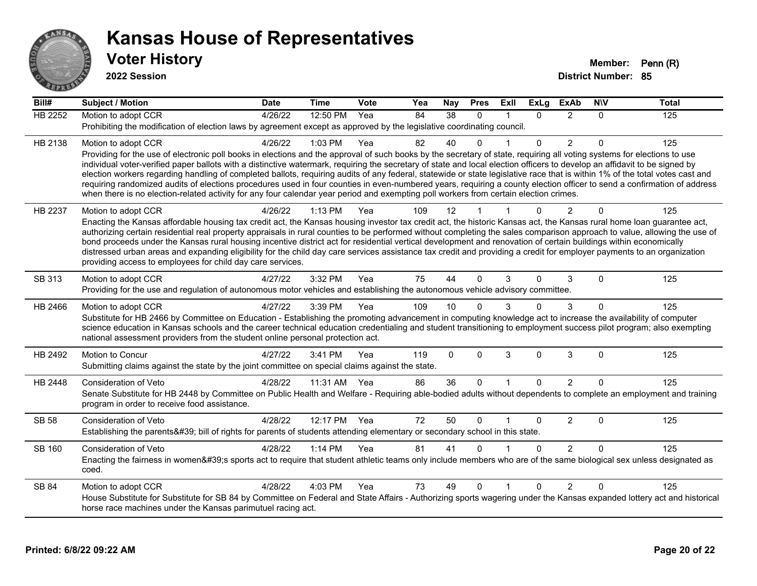

| Bill#          | <b>Subject / Motion</b>                                                                                                                                                                                                                                                                                                                                    | <b>Date</b> | <b>Time</b> | <b>Vote</b> | Yea | Nay         | <b>Pres</b> | Exll         | <b>ExLg</b>  | <b>ExAb</b>    | <b>NIV</b> | <b>Total</b> |
|----------------|------------------------------------------------------------------------------------------------------------------------------------------------------------------------------------------------------------------------------------------------------------------------------------------------------------------------------------------------------------|-------------|-------------|-------------|-----|-------------|-------------|--------------|--------------|----------------|------------|--------------|
| <b>HB 2252</b> | Motion to adopt CCR                                                                                                                                                                                                                                                                                                                                        | 4/26/22     | 12:50 PM    | Yea         | 84  | 38          | $\Omega$    |              | $\Omega$     | 2              | 0          | 125          |
|                | Prohibiting the modification of election laws by agreement except as approved by the legislative coordinating council.                                                                                                                                                                                                                                     |             |             |             |     |             |             |              |              |                |            |              |
| HB 2138        | Motion to adopt CCR                                                                                                                                                                                                                                                                                                                                        | 4/26/22     | 1:03 PM     | Yea         | 82  | 40          | $\Omega$    |              | $\mathbf{0}$ | $\overline{2}$ | 0          | 125          |
|                | Providing for the use of electronic poll books in elections and the approval of such books by the secretary of state, requiring all voting systems for elections to use                                                                                                                                                                                    |             |             |             |     |             |             |              |              |                |            |              |
|                | individual voter-verified paper ballots with a distinctive watermark, requiring the secretary of state and local election officers to develop an affidavit to be signed by<br>election workers regarding handling of completed ballots, requiring audits of any federal, statewide or state legislative race that is within 1% of the total votes cast and |             |             |             |     |             |             |              |              |                |            |              |
|                | requiring randomized audits of elections procedures used in four counties in even-numbered years, requiring a county election officer to send a confirmation of address                                                                                                                                                                                    |             |             |             |     |             |             |              |              |                |            |              |
|                | when there is no election-related activity for any four calendar year period and exempting poll workers from certain election crimes.                                                                                                                                                                                                                      |             |             |             |     |             |             |              |              |                |            |              |
| HB 2237        | Motion to adopt CCR                                                                                                                                                                                                                                                                                                                                        | 4/26/22     | $1:13$ PM   | Yea         | 109 | 12          |             |              | $\Omega$     | 2              | $\Omega$   | 125          |
|                | Enacting the Kansas affordable housing tax credit act, the Kansas housing investor tax credit act, the historic Kansas act, the Kansas rural home loan guarantee act,                                                                                                                                                                                      |             |             |             |     |             |             |              |              |                |            |              |
|                | authorizing certain residential real property appraisals in rural counties to be performed without completing the sales comparison approach to value, allowing the use of                                                                                                                                                                                  |             |             |             |     |             |             |              |              |                |            |              |
|                | bond proceeds under the Kansas rural housing incentive district act for residential vertical development and renovation of certain buildings within economically<br>distressed urban areas and expanding eligibility for the child day care services assistance tax credit and providing a credit for employer payments to an organization                 |             |             |             |     |             |             |              |              |                |            |              |
|                | providing access to employees for child day care services.                                                                                                                                                                                                                                                                                                 |             |             |             |     |             |             |              |              |                |            |              |
| SB 313         |                                                                                                                                                                                                                                                                                                                                                            | 4/27/22     | 3:32 PM     | Yea         | 75  | 44          | $\Omega$    | 3            | $\Omega$     | 3              | $\Omega$   | 125          |
|                | Motion to adopt CCR<br>Providing for the use and regulation of autonomous motor vehicles and establishing the autonomous vehicle advisory committee.                                                                                                                                                                                                       |             |             |             |     |             |             |              |              |                |            |              |
|                |                                                                                                                                                                                                                                                                                                                                                            |             |             |             |     |             |             |              |              |                |            |              |
| HB 2466        | Motion to adopt CCR<br>Substitute for HB 2466 by Committee on Education - Establishing the promoting advancement in computing knowledge act to increase the availability of computer                                                                                                                                                                       | 4/27/22     | 3:39 PM     | Yea         | 109 | 10          |             |              | $\Omega$     | 3              | $\Omega$   | 125          |
|                | science education in Kansas schools and the career technical education credentialing and student transitioning to employment success pilot program; also exempting                                                                                                                                                                                         |             |             |             |     |             |             |              |              |                |            |              |
|                | national assessment providers from the student online personal protection act.                                                                                                                                                                                                                                                                             |             |             |             |     |             |             |              |              |                |            |              |
| HB 2492        | Motion to Concur                                                                                                                                                                                                                                                                                                                                           | 4/27/22     | 3:41 PM     | Yea         | 119 | $\mathbf 0$ | $\Omega$    | 3            | $\mathbf 0$  | $\sqrt{3}$     | $\Omega$   | 125          |
|                | Submitting claims against the state by the joint committee on special claims against the state.                                                                                                                                                                                                                                                            |             |             |             |     |             |             |              |              |                |            |              |
| HB 2448        | <b>Consideration of Veto</b>                                                                                                                                                                                                                                                                                                                               | 4/28/22     | 11:31 AM    | Yea         | 86  | 36          | $\Omega$    | 1            | $\Omega$     | $\overline{2}$ | $\Omega$   | 125          |
|                | Senate Substitute for HB 2448 by Committee on Public Health and Welfare - Requiring able-bodied adults without dependents to complete an employment and training                                                                                                                                                                                           |             |             |             |     |             |             |              |              |                |            |              |
|                | program in order to receive food assistance.                                                                                                                                                                                                                                                                                                               |             |             |             |     |             |             |              |              |                |            |              |
| <b>SB 58</b>   | <b>Consideration of Veto</b>                                                                                                                                                                                                                                                                                                                               | 4/28/22     | 12:17 PM    | Yea         | 72  | 50          | $\Omega$    | $\mathbf{1}$ | $\Omega$     | $\overline{2}$ | $\Omega$   | 125          |
|                | Establishing the parents' bill of rights for parents of students attending elementary or secondary school in this state.                                                                                                                                                                                                                                   |             |             |             |     |             |             |              |              |                |            |              |
| <b>SB 160</b>  | Consideration of Veto                                                                                                                                                                                                                                                                                                                                      | 4/28/22     | 1:14 PM     | Yea         | 81  | 41          | $\Omega$    |              | $\Omega$     | $\mathcal{P}$  | $\Omega$   | 125          |
|                | Enacting the fairness in women's sports act to require that student athletic teams only include members who are of the same biological sex unless designated as                                                                                                                                                                                            |             |             |             |     |             |             |              |              |                |            |              |
|                | coed.                                                                                                                                                                                                                                                                                                                                                      |             |             |             |     |             |             |              |              |                |            |              |
| <b>SB 84</b>   | Motion to adopt CCR                                                                                                                                                                                                                                                                                                                                        | 4/28/22     | 4:03 PM     | Yea         | 73  | 49          | $\Omega$    |              | $\Omega$     | $\overline{2}$ | $\Omega$   | 125          |
|                | House Substitute for Substitute for SB 84 by Committee on Federal and State Affairs - Authorizing sports wagering under the Kansas expanded lottery act and historical                                                                                                                                                                                     |             |             |             |     |             |             |              |              |                |            |              |
|                | horse race machines under the Kansas parimutuel racing act.                                                                                                                                                                                                                                                                                                |             |             |             |     |             |             |              |              |                |            |              |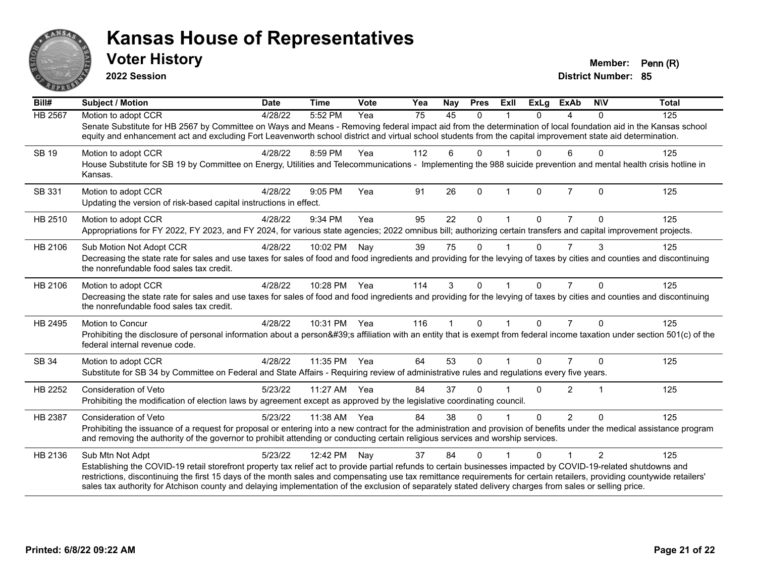

**2022 Session**

| Bill#          | Subject / Motion                                                                                                                                                                                                                                                                                                                                                                                                                                                                                       | <b>Date</b> | <b>Time</b>  | Vote | Yea             | Nay          | <b>Pres</b>  | ExII         | <b>ExLg</b> | <b>ExAb</b>    | <b>NIV</b>     | <b>Total</b> |
|----------------|--------------------------------------------------------------------------------------------------------------------------------------------------------------------------------------------------------------------------------------------------------------------------------------------------------------------------------------------------------------------------------------------------------------------------------------------------------------------------------------------------------|-------------|--------------|------|-----------------|--------------|--------------|--------------|-------------|----------------|----------------|--------------|
| <b>HB 2567</b> | Motion to adopt CCR                                                                                                                                                                                                                                                                                                                                                                                                                                                                                    | 4/28/22     | 5:52 PM      | Yea  | $\overline{75}$ | 45           | $\Omega$     |              | 0           | 4              | $\Omega$       | 125          |
|                | Senate Substitute for HB 2567 by Committee on Ways and Means - Removing federal impact aid from the determination of local foundation aid in the Kansas school<br>equity and enhancement act and excluding Fort Leavenworth school district and virtual school students from the capital improvement state aid determination.                                                                                                                                                                          |             |              |      |                 |              |              |              |             |                |                |              |
| <b>SB 19</b>   | Motion to adopt CCR                                                                                                                                                                                                                                                                                                                                                                                                                                                                                    | 4/28/22     | 8:59 PM      | Yea  | 112             | 6            | $\Omega$     |              | 0           | 6              | $\Omega$       | 125          |
|                | House Substitute for SB 19 by Committee on Energy, Utilities and Telecommunications - Implementing the 988 suicide prevention and mental health crisis hotline in<br>Kansas.                                                                                                                                                                                                                                                                                                                           |             |              |      |                 |              |              |              |             |                |                |              |
| SB 331         | Motion to adopt CCR                                                                                                                                                                                                                                                                                                                                                                                                                                                                                    | 4/28/22     | 9:05 PM      | Yea  | 91              | 26           | $\mathbf 0$  | $\mathbf{1}$ | 0           | $\overline{7}$ | $\Omega$       | 125          |
|                | Updating the version of risk-based capital instructions in effect.                                                                                                                                                                                                                                                                                                                                                                                                                                     |             |              |      |                 |              |              |              |             |                |                |              |
| HB 2510        | Motion to adopt CCR                                                                                                                                                                                                                                                                                                                                                                                                                                                                                    | 4/28/22     | 9:34 PM      | Yea  | 95              | 22           | $\Omega$     |              | 0           |                | $\Omega$       | 125          |
|                | Appropriations for FY 2022, FY 2023, and FY 2024, for various state agencies; 2022 omnibus bill; authorizing certain transfers and capital improvement projects.                                                                                                                                                                                                                                                                                                                                       |             |              |      |                 |              |              |              |             |                |                |              |
| HB 2106        | Sub Motion Not Adopt CCR                                                                                                                                                                                                                                                                                                                                                                                                                                                                               | 4/28/22     | 10:02 PM     | Nay  | 39              | 75           | $\mathbf{0}$ |              | 0           | 7              | 3              | 125          |
|                | Decreasing the state rate for sales and use taxes for sales of food and food ingredients and providing for the levying of taxes by cities and counties and discontinuing<br>the nonrefundable food sales tax credit.                                                                                                                                                                                                                                                                                   |             |              |      |                 |              |              |              |             |                |                |              |
| HB 2106        | Motion to adopt CCR                                                                                                                                                                                                                                                                                                                                                                                                                                                                                    | 4/28/22     | 10:28 PM Yea |      | 114             | 3            | $\Omega$     |              | $\Omega$    | $\overline{7}$ | $\Omega$       | 125          |
|                | Decreasing the state rate for sales and use taxes for sales of food and food ingredients and providing for the levying of taxes by cities and counties and discontinuing<br>the nonrefundable food sales tax credit.                                                                                                                                                                                                                                                                                   |             |              |      |                 |              |              |              |             |                |                |              |
| HB 2495        | <b>Motion to Concur</b>                                                                                                                                                                                                                                                                                                                                                                                                                                                                                | 4/28/22     | 10:31 PM     | Yea  | 116             | $\mathbf{1}$ | $\mathbf{0}$ | $\mathbf{1}$ | $\Omega$    | $\overline{7}$ | $\Omega$       | 125          |
|                | Prohibiting the disclosure of personal information about a person's affiliation with an entity that is exempt from federal income taxation under section 501(c) of the<br>federal internal revenue code.                                                                                                                                                                                                                                                                                               |             |              |      |                 |              |              |              |             |                |                |              |
| SB 34          | Motion to adopt CCR                                                                                                                                                                                                                                                                                                                                                                                                                                                                                    | 4/28/22     | 11:35 PM     | Yea  | 64              | 53           | $\Omega$     |              | $\Omega$    | $\overline{7}$ | $\Omega$       | 125          |
|                | Substitute for SB 34 by Committee on Federal and State Affairs - Requiring review of administrative rules and regulations every five years.                                                                                                                                                                                                                                                                                                                                                            |             |              |      |                 |              |              |              |             |                |                |              |
| HB 2252        | <b>Consideration of Veto</b>                                                                                                                                                                                                                                                                                                                                                                                                                                                                           | 5/23/22     | 11:27 AM     | Yea  | 84              | 37           | $\Omega$     |              | $\Omega$    | $\overline{2}$ | $\overline{1}$ | 125          |
|                | Prohibiting the modification of election laws by agreement except as approved by the legislative coordinating council.                                                                                                                                                                                                                                                                                                                                                                                 |             |              |      |                 |              |              |              |             |                |                |              |
| <b>HB 2387</b> | <b>Consideration of Veto</b>                                                                                                                                                                                                                                                                                                                                                                                                                                                                           | 5/23/22     | 11:38 AM     | Yea  | 84              | 38           | $\Omega$     |              | $\Omega$    | $\overline{2}$ | $\Omega$       | 125          |
|                | Prohibiting the issuance of a request for proposal or entering into a new contract for the administration and provision of benefits under the medical assistance program<br>and removing the authority of the governor to prohibit attending or conducting certain religious services and worship services.                                                                                                                                                                                            |             |              |      |                 |              |              |              |             |                |                |              |
| HB 2136        | Sub Mtn Not Adpt                                                                                                                                                                                                                                                                                                                                                                                                                                                                                       | 5/23/22     | 12:42 PM     | Nay  | 37              | 84           | $\Omega$     |              | $\Omega$    |                | $\mathcal{P}$  | 125          |
|                | Establishing the COVID-19 retail storefront property tax relief act to provide partial refunds to certain businesses impacted by COVID-19-related shutdowns and<br>restrictions, discontinuing the first 15 days of the month sales and compensating use tax remittance requirements for certain retailers, providing countywide retailers'<br>sales tax authority for Atchison county and delaying implementation of the exclusion of separately stated delivery charges from sales or selling price. |             |              |      |                 |              |              |              |             |                |                |              |